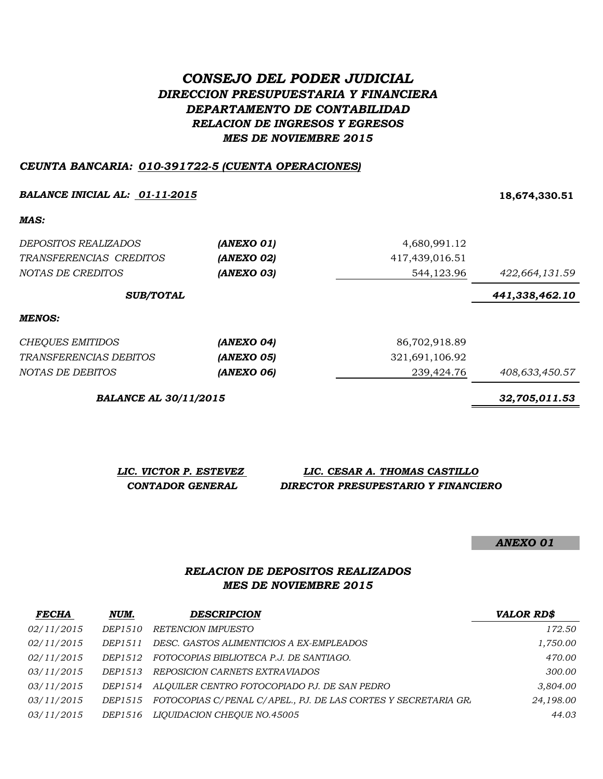# *CONSEJO DEL PODER JUDICIAL DIRECCION PRESUPUESTARIA Y FINANCIERA DEPARTAMENTO DE CONTABILIDAD RELACION DE INGRESOS Y EGRESOS MES DE NOVIEMBRE 2015*

#### *CEUNTA BANCARIA: 010-391722-5 (CUENTA OPERACIONES)*

#### *BALANCE INICIAL AL: 01-11-2015* **18,674,330.51**

*MAS:*

| <i>DEPOSITOS REALIZADOS</i><br>TRANSFERENCIAS CREDITOS<br>NOTAS DE CREDITOS | (ANEXO 01)<br>(ANEXO 02)<br>(ANEXO 03) | 4,680,991.12<br>417,439,016.51<br>544,123.96 | 422,664,131.59 |
|-----------------------------------------------------------------------------|----------------------------------------|----------------------------------------------|----------------|
| <b>SUB/TOTAL</b>                                                            |                                        |                                              | 441,338,462.10 |
| MENOS:                                                                      |                                        |                                              |                |
| <b>CHEQUES EMITIDOS</b>                                                     | (ANEXO 04)                             | 86,702,918.89                                |                |
| TRANSFERENCIAS DEBITOS                                                      | (ANEXO 05)                             | 321,691,106.92                               |                |
| NOTAS DE DEBITOS                                                            | (ANEXO 06)                             | 239,424.76                                   | 408,633,450.57 |

*BALANCE AL 30/11/2015 32,705,011.53*

*LIC. VICTOR P. ESTEVEZ LIC. CESAR A. THOMAS CASTILLO CONTADOR GENERAL DIRECTOR PRESUPESTARIO Y FINANCIERO*

*ANEXO 01*

### *RELACION DE DEPOSITOS REALIZADOS MES DE NOVIEMBRE 2015*

| <b>FECHA</b> | NUM.           | <b>DESCRIPCION</b>                                             | <b>VALOR RD\$</b> |
|--------------|----------------|----------------------------------------------------------------|-------------------|
| 02/11/2015   | DEP1510        | RETENCION IMPUESTO                                             | 172.50            |
| 02/11/2015   | DEP1511        | DESC. GASTOS ALIMENTICIOS A EX-EMPLEADOS                       | 1,750.00          |
| 02/11/2015   | DEP1512        | FOTOCOPIAS BIBLIOTECA P.J. DE SANTIAGO.                        | 470.00            |
| 03/11/2015   | DEP1513        | REPOSICION CARNETS EXTRAVIADOS                                 | 300.00            |
| 03/11/2015   | DEP1514        | ALOUILER CENTRO FOTOCOPIADO PJ. DE SAN PEDRO                   | 3,804.00          |
| 03/11/2015   | DEP1515        | FOTOCOPIAS C/PENAL C/APEL., PJ. DE LAS CORTES Y SECRETARIA GR. | 24,198.00         |
| 03/11/2015   | <i>DEP1516</i> | LIOUIDACION CHEOUE NO.45005                                    | 44.03             |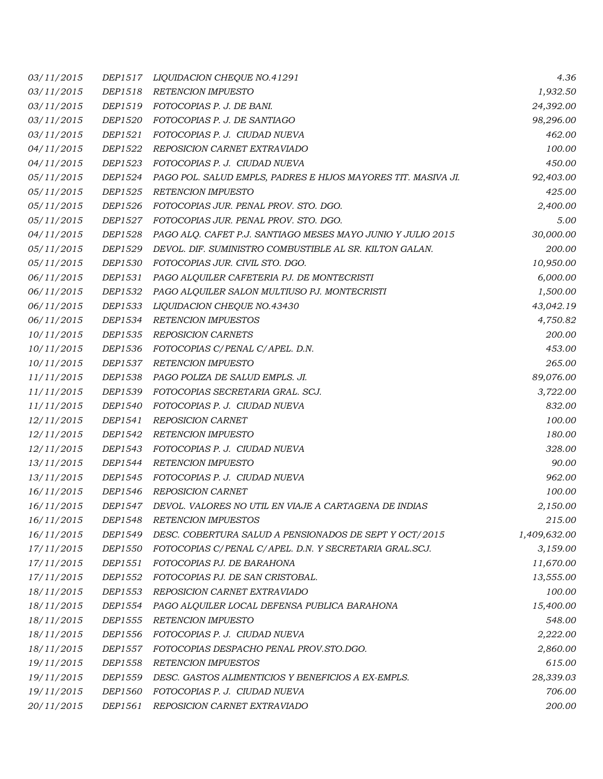| 03/11/2015 | DEP1517        | LIQUIDACION CHEQUE NO.41291                                   | 4.36         |
|------------|----------------|---------------------------------------------------------------|--------------|
| 03/11/2015 | DEP1518        | <b>RETENCION IMPUESTO</b>                                     | 1,932.50     |
| 03/11/2015 | DEP1519        | FOTOCOPIAS P. J. DE BANI.                                     | 24,392.00    |
| 03/11/2015 | <i>DEP1520</i> | FOTOCOPIAS P. J. DE SANTIAGO                                  | 98,296.00    |
| 03/11/2015 | DEP1521        | FOTOCOPIAS P. J. CIUDAD NUEVA                                 | 462.00       |
| 04/11/2015 | DEP1522        | REPOSICION CARNET EXTRAVIADO                                  | 100.00       |
| 04/11/2015 | DEP1523        | FOTOCOPIAS P. J. CIUDAD NUEVA                                 | 450.00       |
| 05/11/2015 | DEP1524        | PAGO POL. SALUD EMPLS, PADRES E HIJOS MAYORES TIT. MASIVA JI. | 92,403.00    |
| 05/11/2015 | DEP1525        | <b>RETENCION IMPUESTO</b>                                     | 425.00       |
| 05/11/2015 | DEP1526        | FOTOCOPIAS JUR. PENAL PROV. STO. DGO.                         | 2,400.00     |
| 05/11/2015 | DEP1527        | FOTOCOPIAS JUR. PENAL PROV. STO. DGO.                         | 5.00         |
| 04/11/2015 | DEP1528        | PAGO ALQ. CAFET P.J. SANTIAGO MESES MAYO JUNIO Y JULIO 2015   | 30,000.00    |
| 05/11/2015 | DEP1529        | DEVOL. DIF. SUMINISTRO COMBUSTIBLE AL SR. KILTON GALAN.       | 200.00       |
| 05/11/2015 | DEP1530        | FOTOCOPIAS JUR. CIVIL STO. DGO.                               | 10,950.00    |
| 06/11/2015 | DEP1531        | PAGO ALQUILER CAFETERIA PJ. DE MONTECRISTI                    | 6,000.00     |
| 06/11/2015 | DEP1532        | PAGO ALQUILER SALON MULTIUSO PJ. MONTECRISTI                  | 1,500.00     |
| 06/11/2015 | DEP1533        | <i>LIQUIDACION CHEQUE NO.43430</i>                            | 43,042.19    |
| 06/11/2015 | DEP1534        | <b>RETENCION IMPUESTOS</b>                                    | 4,750.82     |
| 10/11/2015 | DEP1535        | <b>REPOSICION CARNETS</b>                                     | 200.00       |
| 10/11/2015 | DEP1536        | FOTOCOPIAS C/PENAL C/APEL. D.N.                               | 453.00       |
| 10/11/2015 | DEP1537        | <b>RETENCION IMPUESTO</b>                                     | 265.00       |
| 11/11/2015 | <i>DEP1538</i> | PAGO POLIZA DE SALUD EMPLS. JI.                               | 89,076.00    |
| 11/11/2015 | DEP1539        | FOTOCOPIAS SECRETARIA GRAL. SCJ.                              | 3,722.00     |
| 11/11/2015 | DEP1540        | FOTOCOPIAS P. J. CIUDAD NUEVA                                 | 832.00       |
| 12/11/2015 | DEP1541        | REPOSICION CARNET                                             | 100.00       |
| 12/11/2015 | DEP1542        | <b>RETENCION IMPUESTO</b>                                     | 180.00       |
| 12/11/2015 | <i>DEP1543</i> | FOTOCOPIAS P. J. CIUDAD NUEVA                                 | 328.00       |
| 13/11/2015 | DEP1544        | <b>RETENCION IMPUESTO</b>                                     | 90.00        |
| 13/11/2015 | DEP1545        | FOTOCOPIAS P. J.  CIUDAD NUEVA                                | 962.00       |
| 16/11/2015 | DEP1546        | <b>REPOSICION CARNET</b>                                      | 100.00       |
| 16/11/2015 | <i>DEP1547</i> | DEVOL. VALORES NO UTIL EN VIAJE A CARTAGENA DE INDIAS         | 2,150.00     |
| 16/11/2015 | <i>DEP1548</i> | <b>RETENCION IMPUESTOS</b>                                    | 215.00       |
| 16/11/2015 | DEP1549        | DESC. COBERTURA SALUD A PENSIONADOS DE SEPT Y OCT/2015        | 1,409,632.00 |
| 17/11/2015 | <i>DEP1550</i> | FOTOCOPIAS C/PENAL C/APEL. D.N. Y SECRETARIA GRAL.SCJ.        | 3,159.00     |
| 17/11/2015 | DEP1551        | FOTOCOPIAS PJ. DE BARAHONA                                    | 11,670.00    |
| 17/11/2015 | DEP1552        | FOTOCOPIAS PJ. DE SAN CRISTOBAL.                              | 13,555.00    |
| 18/11/2015 | DEP1553        | REPOSICION CARNET EXTRAVIADO                                  | 100.00       |
| 18/11/2015 | DEP1554        | PAGO ALQUILER LOCAL DEFENSA PUBLICA BARAHONA                  | 15,400.00    |
| 18/11/2015 | <i>DEP1555</i> | RETENCION IMPUESTO                                            | 548.00       |
| 18/11/2015 | DEP1556        | FOTOCOPIAS P. J. CIUDAD NUEVA                                 | 2,222.00     |
| 18/11/2015 | DEP1557        | FOTOCOPIAS DESPACHO PENAL PROV.STO.DGO.                       | 2,860.00     |
| 19/11/2015 | DEP1558        | <b>RETENCION IMPUESTOS</b>                                    | 615.00       |
| 19/11/2015 | DEP1559        | DESC. GASTOS ALIMENTICIOS Y BENEFICIOS A EX-EMPLS.            | 28,339.03    |
| 19/11/2015 | DEP1560        | FOTOCOPIAS P. J. CIUDAD NUEVA                                 | 706.00       |
| 20/11/2015 | DEP1561        | REPOSICION CARNET EXTRAVIADO                                  | 200.00       |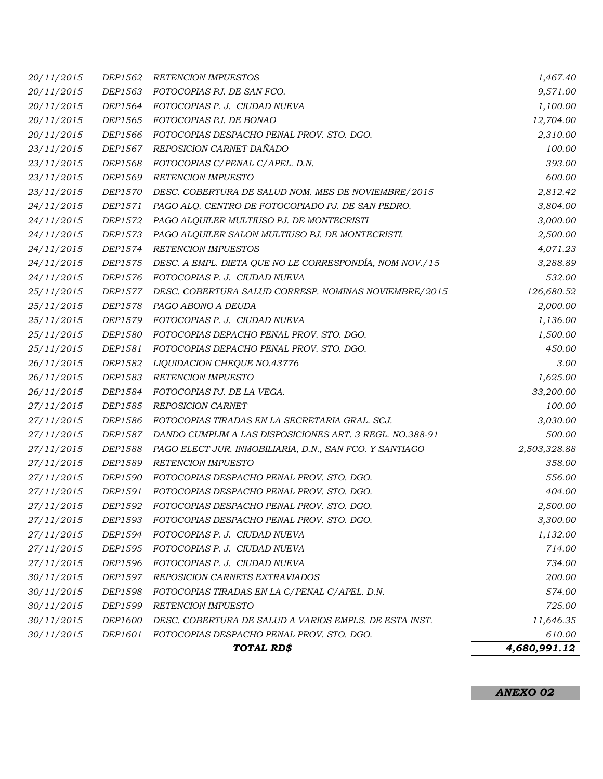|                          |                    | TOTAL RD\$                                                                                     | 4,680,991.12         |
|--------------------------|--------------------|------------------------------------------------------------------------------------------------|----------------------|
| 30/11/2015               | DEP1601            | FOTOCOPIAS DESPACHO PENAL PROV. STO. DGO.                                                      | 610.00               |
| 30/11/2015               | <i>DEP1600</i>     | DESC. COBERTURA DE SALUD A VARIOS EMPLS. DE ESTA INST.                                         | 11,646.35            |
| 30/11/2015               | DEP1599            | RETENCION IMPUESTO                                                                             | 725.00               |
| 30/11/2015               | DEP1598            | FOTOCOPIAS TIRADAS EN LA C/PENAL C/APEL. D.N.                                                  | 574.00               |
| 30/11/2015               | DEP1597            | REPOSICION CARNETS EXTRAVIADOS                                                                 | 200.00               |
| 27/11/2015               | DEP1596            | FOTOCOPIAS P. J. CIUDAD NUEVA                                                                  | 734.00               |
| 27/11/2015               | DEP1595            | FOTOCOPIAS P. J. CIUDAD NUEVA                                                                  | 714.00               |
| 27/11/2015               | DEP1594            | FOTOCOPIAS P. J. CIUDAD NUEVA                                                                  | 1,132.00             |
| 27/11/2015               | DEP1593            | FOTOCOPIAS DESPACHO PENAL PROV. STO. DGO.                                                      | 3,300.00             |
| 27/11/2015               | DEP1592            | FOTOCOPIAS DESPACHO PENAL PROV. STO. DGO.                                                      | 2,500.00             |
| 27/11/2015               | DEP1591            | FOTOCOPIAS DESPACHO PENAL PROV. STO. DGO.                                                      | 404.00               |
| 27/11/2015               | DEP1590            | FOTOCOPIAS DESPACHO PENAL PROV. STO. DGO.                                                      | 556.00               |
| 27/11/2015               | DEP1589            | <b>RETENCION IMPUESTO</b>                                                                      | 358.00               |
| 27/11/2015               | <i>DEP1588</i>     | PAGO ELECT JUR. INMOBILIARIA, D.N., SAN FCO. Y SANTIAGO                                        | 2,503,328.88         |
| 27/11/2015               | DEP1587            | DANDO CUMPLIM A LAS DISPOSICIONES ART. 3 REGL. NO.388-91                                       | 500.00               |
| 27/11/2015               | DEP1586            | FOTOCOPIAS TIRADAS EN LA SECRETARIA GRAL. SCJ.                                                 | 3,030.00             |
| 27/11/2015               | DEP1585            | <b>REPOSICION CARNET</b>                                                                       | 100.00               |
| 26/11/2015               | DEP1584            | FOTOCOPIAS PJ. DE LA VEGA.                                                                     | 33,200.00            |
| 26/11/2015               | DEP1583            | RETENCION IMPUESTO                                                                             | 1,625.00             |
| 26/11/2015               | DEP1582            | LIQUIDACION CHEQUE NO.43776                                                                    | 3.00                 |
| 25/11/2015               | DEP1581            | FOTOCOPIAS DEPACHO PENAL PROV. STO. DGO.                                                       | 450.00               |
| 25/11/2015               | DEP1580            | FOTOCOPIAS DEPACHO PENAL PROV. STO. DGO.                                                       | 1,500.00             |
| 25/11/2015               | DEP1579            | FOTOCOPIAS P. J. CIUDAD NUEVA                                                                  | 1,136.00             |
| 25/11/2015               | <i>DEP1578</i>     | PAGO ABONO A DEUDA                                                                             | 2,000.00             |
| 25/11/2015               | DEP1577            | DESC. COBERTURA SALUD CORRESP. NOMINAS NOVIEMBRE/2015                                          | 126,680.52           |
| 24/11/2015               | DEP1576            | FOTOCOPIAS P. J. CIUDAD NUEVA                                                                  | 532.00               |
| 24/11/2015               | DEP1575            | DESC. A EMPL. DIETA QUE NO LE CORRESPONDÍA, NOM NOV./15                                        | 3,288.89             |
| 24/11/2015               | <i>DEP1574</i>     | <b>RETENCION IMPUESTOS</b>                                                                     | 4,071.23             |
| 24/11/2015               | DEP1573            | PAGO ALQUILER SALON MULTIUSO PJ. DE MONTECRISTI.                                               | 2,500.00             |
| 24/11/2015<br>24/11/2015 | DEP1572            | PAGO ALQ. CENTRO DE FOTOCOPIADO PJ. DE SAN PEDRO.<br>PAGO ALQUILER MULTIUSO PJ. DE MONTECRISTI | 3,000.00             |
| 23/11/2015               | DEP1570<br>DEP1571 | DESC. COBERTURA DE SALUD NOM. MES DE NOVIEMBRE/2015                                            | 2,812.42<br>3,804.00 |
| 23/11/2015               | DEP1569            | <b>RETENCION IMPUESTO</b>                                                                      | 600.00               |
| 23/11/2015               | DEP1568            | FOTOCOPIAS C/PENAL C/APEL. D.N.                                                                | 393.00               |
| 23/11/2015               | DEP1567            | REPOSICION CARNET DAÑADO                                                                       | 100.00               |
| 20/11/2015               | DEP1566            | FOTOCOPIAS DESPACHO PENAL PROV. STO. DGO.                                                      | 2,310.00             |
| 20/11/2015               | DEP1565            | FOTOCOPIAS PJ. DE BONAO                                                                        | 12,704.00            |
| 20/11/2015               | DEP1564            | FOTOCOPIAS P. J. CIUDAD NUEVA                                                                  | 1,100.00             |
| 20/11/2015               | DEP1563            | FOTOCOPIAS PJ. DE SAN FCO.                                                                     | 9,571.00             |
| 20/11/2015               | <i>DEP1562</i>     | <b>RETENCION IMPUESTOS</b>                                                                     | 1,467.40             |
|                          |                    |                                                                                                |                      |

*ANEXO 02*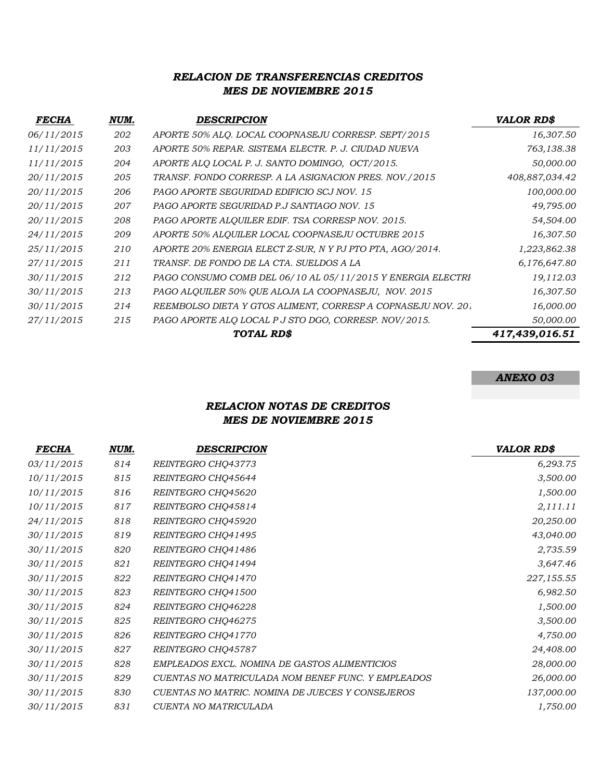## *MES DE NOVIEMBRE 2015 RELACION DE TRANSFERENCIAS CREDITOS*

| <b>FECHA</b> | NUM. | <b>DESCRIPCION</b>                                           | <b>VALOR RD\$</b> |
|--------------|------|--------------------------------------------------------------|-------------------|
| 06/11/2015   | 202  | APORTE 50% ALQ. LOCAL COOPNASEJU CORRESP. SEPT/2015          | 16,307.50         |
| 11/11/2015   | 203  | APORTE 50% REPAR. SISTEMA ELECTR. P. J. CIUDAD NUEVA         | 763,138.38        |
| 11/11/2015   | 204  | APORTE ALQ LOCAL P. J. SANTO DOMINGO, OCT/2015.              | 50,000.00         |
| 20/11/2015   | 205  | TRANSF. FONDO CORRESP. A LA ASIGNACION PRES. NOV./2015       | 408,887,034.42    |
| 20/11/2015   | 206  | PAGO APORTE SEGURIDAD EDIFICIO SCJ NOV. 15                   | 100,000.00        |
| 20/11/2015   | 207  | PAGO APORTE SEGURIDAD P.J SANTIAGO NOV. 15                   | 49,795.00         |
| 20/11/2015   | 208  | PAGO APORTE ALQUILER EDIF. TSA CORRESP NOV. 2015.            | 54,504.00         |
| 24/11/2015   | 209  | APORTE 50% ALQUILER LOCAL COOPNASEJU OCTUBRE 2015            | 16,307.50         |
| 25/11/2015   | 210  | APORTE 20% ENERGIA ELECT Z-SUR, N Y PJ PTO PTA, AGO/2014.    | 1,223,862.38      |
| 27/11/2015   | 211  | TRANSF. DE FONDO DE LA CTA. SUELDOS A LA                     | 6,176,647.80      |
| 30/11/2015   | 212  | PAGO CONSUMO COMB DEL 06/10 AL 05/11/2015 Y ENERGIA ELECTRI  | 19,112.03         |
| 30/11/2015   | 213  | PAGO ALQUILER 50% QUE ALOJA LA COOPNASEJU, NOV. 2015         | 16,307.50         |
| 30/11/2015   | 214  | REEMBOLSO DIETA Y GTOS ALIMENT, CORRESP A COPNASEJU NOV. 201 | 16,000.00         |
| 27/11/2015   | 215  | PAGO APORTE ALQ LOCAL P J STO DGO, CORRESP. NOV/2015.        | 50,000.00         |
|              |      | TOTAL RD\$                                                   | 417,439,016.51    |

## *ANEXO 03*

## *RELACION NOTAS DE CREDITOS MES DE NOVIEMBRE 2015*

| <i>FECHA</i> | NUM. | DESCRIPCION                                        | <b>VALOR RD\$</b> |
|--------------|------|----------------------------------------------------|-------------------|
| 03/11/2015   | 814  | REINTEGRO CHQ43773                                 | 6,293.75          |
| 10/11/2015   | 815  | REINTEGRO CHQ45644                                 | 3,500.00          |
| 10/11/2015   | 816  | REINTEGRO CHQ45620                                 | 1,500.00          |
| 10/11/2015   | 817  | REINTEGRO CHQ45814                                 | 2,111.11          |
| 24/11/2015   | 818  | REINTEGRO CHQ45920                                 | 20,250.00         |
| 30/11/2015   | 819  | REINTEGRO CHQ41495                                 | 43,040.00         |
| 30/11/2015   | 820  | REINTEGRO CHQ41486                                 | 2,735.59          |
| 30/11/2015   | 821  | REINTEGRO CHQ41494                                 | 3,647.46          |
| 30/11/2015   | 822  | REINTEGRO CHQ41470                                 | 227,155.55        |
| 30/11/2015   | 823  | REINTEGRO CHQ41500                                 | 6,982.50          |
| 30/11/2015   | 824  | REINTEGRO CHQ46228                                 | 1,500.00          |
| 30/11/2015   | 825  | REINTEGRO CHQ46275                                 | 3,500.00          |
| 30/11/2015   | 826  | REINTEGRO CHQ41770                                 | 4,750.00          |
| 30/11/2015   | 827  | REINTEGRO CHQ45787                                 | 24,408.00         |
| 30/11/2015   | 828  | EMPLEADOS EXCL. NOMINA DE GASTOS ALIMENTICIOS      | 28,000.00         |
| 30/11/2015   | 829  | CUENTAS NO MATRICULADA NOM BENEF FUNC. Y EMPLEADOS | 26,000.00         |
| 30/11/2015   | 830  | CUENTAS NO MATRIC. NOMINA DE JUECES Y CONSEJEROS   | 137,000.00        |
| 30/11/2015   | 831  | CUENTA NO MATRICULADA                              | 1,750.00          |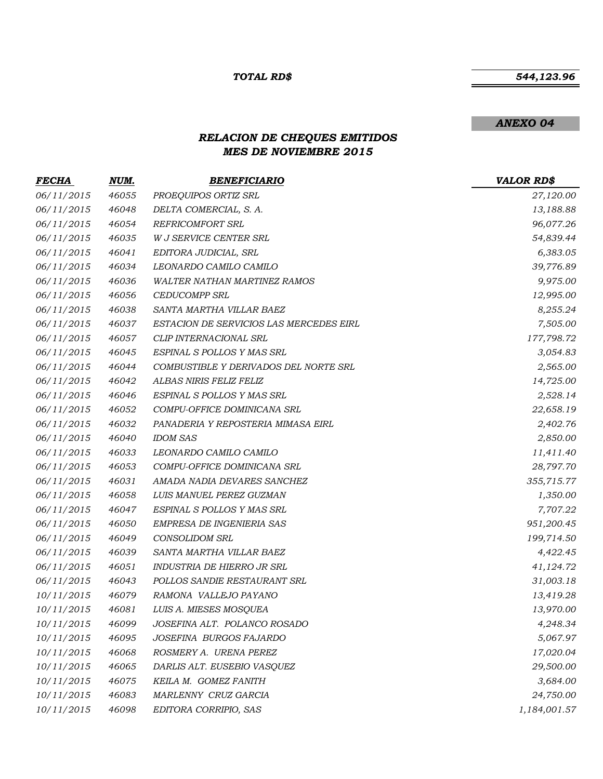#### *TOTAL RD\$*

#### *544,123.96*

#### *ANEXO 04*

# *RELACION DE CHEQUES EMITIDOS MES DE NOVIEMBRE 2015*

| <u>FECHA</u> | <u>NUM.</u> | <b>BENEFICIARIO</b>                     | <b>VALOR RD\$</b> |
|--------------|-------------|-----------------------------------------|-------------------|
| 06/11/2015   | 46055       | PROEQUIPOS ORTIZ SRL                    | 27,120.00         |
| 06/11/2015   | 46048       | DELTA COMERCIAL, S. A.                  | 13,188.88         |
| 06/11/2015   | 46054       | REFRICOMFORT SRL                        | 96,077.26         |
| 06/11/2015   | 46035       | <b>W J SERVICE CENTER SRL</b>           | 54,839.44         |
| 06/11/2015   | 46041       | EDITORA JUDICIAL, SRL                   | 6,383.05          |
| 06/11/2015   | 46034       | LEONARDO CAMILO CAMILO                  | 39,776.89         |
| 06/11/2015   | 46036       | WALTER NATHAN MARTINEZ RAMOS            | 9,975.00          |
| 06/11/2015   | 46056       | <b>CEDUCOMPP SRL</b>                    | 12,995.00         |
| 06/11/2015   | 46038       | SANTA MARTHA VILLAR BAEZ                | 8,255.24          |
| 06/11/2015   | 46037       | ESTACION DE SERVICIOS LAS MERCEDES EIRL | 7,505.00          |
| 06/11/2015   | 46057       | CLIP INTERNACIONAL SRL                  | 177,798.72        |
| 06/11/2015   | 46045       | ESPINAL S POLLOS Y MAS SRL              | 3,054.83          |
| 06/11/2015   | 46044       | COMBUSTIBLE Y DERIVADOS DEL NORTE SRL   | 2,565.00          |
| 06/11/2015   | 46042       | ALBAS NIRIS FELIZ FELIZ                 | 14,725.00         |
| 06/11/2015   | 46046       | ESPINAL S POLLOS Y MAS SRL              | 2,528.14          |
| 06/11/2015   | 46052       | COMPU-OFFICE DOMINICANA SRL             | 22,658.19         |
| 06/11/2015   | 46032       | PANADERIA Y REPOSTERIA MIMASA EIRL      | 2,402.76          |
| 06/11/2015   | 46040       | <b>IDOM SAS</b>                         | 2,850.00          |
| 06/11/2015   | 46033       | LEONARDO CAMILO CAMILO                  | 11,411.40         |
| 06/11/2015   | 46053       | COMPU-OFFICE DOMINICANA SRL             | 28,797.70         |
| 06/11/2015   | 46031       | AMADA NADIA DEVARES SANCHEZ             | 355,715.77        |
| 06/11/2015   | 46058       | LUIS MANUEL PEREZ GUZMAN                | 1,350.00          |
| 06/11/2015   | 46047       | ESPINAL S POLLOS Y MAS SRL              | 7,707.22          |
| 06/11/2015   | 46050       | EMPRESA DE INGENIERIA SAS               | 951,200.45        |
| 06/11/2015   | 46049       | <b>CONSOLIDOM SRL</b>                   | 199,714.50        |
| 06/11/2015   | 46039       | SANTA MARTHA VILLAR BAEZ                | 4,422.45          |
| 06/11/2015   | 46051       | INDUSTRIA DE HIERRO JR SRL              | 41,124.72         |
| 06/11/2015   | 46043       | POLLOS SANDIE RESTAURANT SRL            | 31,003.18         |
| 10/11/2015   | 46079       | RAMONA VALLEJO PAYANO                   | 13,419.28         |
| 10/11/2015   | 46081       | LUIS A. MIESES MOSQUEA                  | 13,970.00         |
| 10/11/2015   | 46099       | JOSEFINA ALT. POLANCO ROSADO            | 4,248.34          |
| 10/11/2015   | 46095       | JOSEFINA BURGOS FAJARDO                 | 5,067.97          |
| 10/11/2015   | 46068       | ROSMERY A. URENA PEREZ                  | 17,020.04         |
| 10/11/2015   | 46065       | DARLIS ALT. EUSEBIO VASQUEZ             | 29,500.00         |
| 10/11/2015   | 46075       | KEILA M. GOMEZ FANITH                   | 3,684.00          |
| 10/11/2015   | 46083       | MARLENNY CRUZ GARCIA                    | 24,750.00         |
| 10/11/2015   | 46098       | EDITORA CORRIPIO, SAS                   | 1,184,001.57      |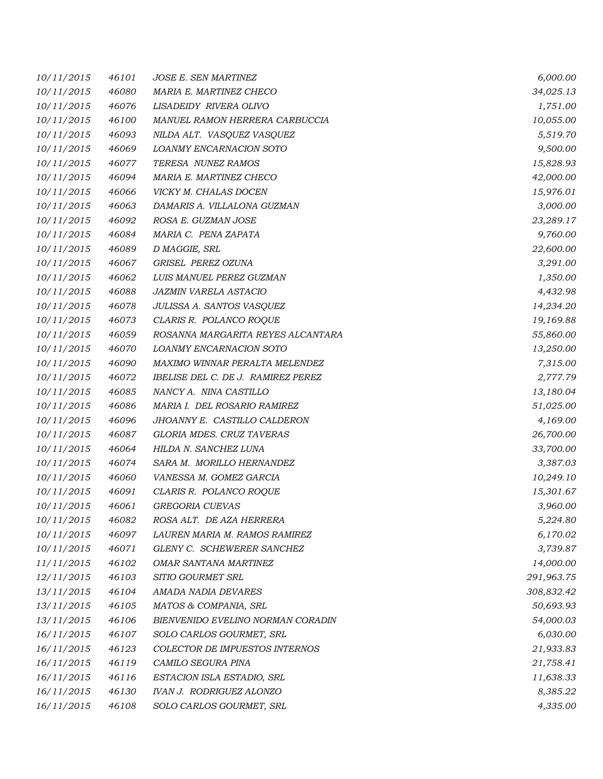| 10/11/2015 | 46101 | <b>JOSE E. SEN MARTINEZ</b>        | 6,000.00   |
|------------|-------|------------------------------------|------------|
| 10/11/2015 | 46080 | MARIA E. MARTINEZ CHECO            | 34,025.13  |
| 10/11/2015 | 46076 | LISADEIDY RIVERA OLIVO             | 1,751.00   |
| 10/11/2015 | 46100 | MANUEL RAMON HERRERA CARBUCCIA     | 10,055.00  |
| 10/11/2015 | 46093 | NILDA ALT. VASQUEZ VASQUEZ         | 5,519.70   |
| 10/11/2015 | 46069 | LOANMY ENCARNACION SOTO            | 9,500.00   |
| 10/11/2015 | 46077 | TERESA NUNEZ RAMOS                 | 15,828.93  |
| 10/11/2015 | 46094 | MARIA E. MARTINEZ CHECO            | 42,000.00  |
| 10/11/2015 | 46066 | VICKY M. CHALAS DOCEN              | 15,976.01  |
| 10/11/2015 | 46063 | DAMARIS A. VILLALONA GUZMAN        | 3,000.00   |
| 10/11/2015 | 46092 | ROSA E. GUZMAN JOSE                | 23,289.17  |
| 10/11/2015 | 46084 | MARIA C. PENA ZAPATA               | 9,760.00   |
| 10/11/2015 | 46089 | D MAGGIE, SRL                      | 22,600.00  |
| 10/11/2015 | 46067 | GRISEL PEREZ OZUNA                 | 3,291.00   |
| 10/11/2015 | 46062 | LUIS MANUEL PEREZ GUZMAN           | 1,350.00   |
| 10/11/2015 | 46088 | JAZMIN VARELA ASTACIO              | 4,432.98   |
| 10/11/2015 | 46078 | JULISSA A. SANTOS VASQUEZ          | 14,234.20  |
| 10/11/2015 | 46073 | CLARIS R. POLANCO ROQUE            | 19,169.88  |
| 10/11/2015 | 46059 | ROSANNA MARGARITA REYES ALCANTARA  | 55,860.00  |
| 10/11/2015 | 46070 | LOANMY ENCARNACION SOTO            | 13,250.00  |
| 10/11/2015 | 46090 | MAXIMO WINNAR PERALTA MELENDEZ     | 7,315.00   |
| 10/11/2015 | 46072 | IBELISE DEL C. DE J. RAMIREZ PEREZ | 2,777.79   |
| 10/11/2015 | 46085 | NANCY A. NINA CASTILLO             | 13,180.04  |
| 10/11/2015 | 46086 | MARIA I. DEL ROSARIO RAMIREZ       | 51,025.00  |
| 10/11/2015 | 46096 | JHOANNY E. CASTILLO CALDERON       | 4,169.00   |
| 10/11/2015 | 46087 | <b>GLORIA MDES. CRUZ TAVERAS</b>   | 26,700.00  |
| 10/11/2015 | 46064 | HILDA N. SANCHEZ LUNA              | 33,700.00  |
| 10/11/2015 | 46074 | SARA M. MORILLO HERNANDEZ          | 3,387.03   |
| 10/11/2015 | 46060 | VANESSA M. GOMEZ GARCIA            | 10,249.10  |
| 10/11/2015 | 46091 | CLARIS R. POLANCO ROQUE            | 15,301.67  |
| 10/11/2015 | 46061 | GREGORIA CUEVAS                    | 3,960.00   |
| 10/11/2015 | 46082 | ROSA ALT. DE AZA HERRERA           | 5,224.80   |
| 10/11/2015 | 46097 | LAUREN MARIA M. RAMOS RAMIREZ      | 6,170.02   |
| 10/11/2015 | 46071 | GLENY C. SCHEWERER SANCHEZ         | 3,739.87   |
| 11/11/2015 | 46102 | OMAR SANTANA MARTINEZ              | 14,000.00  |
| 12/11/2015 | 46103 | SITIO GOURMET SRL                  | 291,963.75 |
| 13/11/2015 | 46104 | AMADA NADIA DEVARES                | 308,832.42 |
| 13/11/2015 | 46105 | MATOS & COMPANIA, SRL              | 50,693.93  |
| 13/11/2015 | 46106 | BIENVENIDO EVELINO NORMAN CORADIN  | 54,000.03  |
| 16/11/2015 | 46107 | SOLO CARLOS GOURMET, SRL           | 6,030.00   |
| 16/11/2015 | 46123 | COLECTOR DE IMPUESTOS INTERNOS     | 21,933.83  |
| 16/11/2015 | 46119 | CAMILO SEGURA PINA                 | 21,758.41  |
| 16/11/2015 | 46116 | ESTACION ISLA ESTADIO, SRL         | 11,638.33  |
| 16/11/2015 | 46130 | <b>IVAN J. RODRIGUEZ ALONZO</b>    | 8,385.22   |
| 16/11/2015 | 46108 | SOLO CARLOS GOURMET, SRL           | 4,335.00   |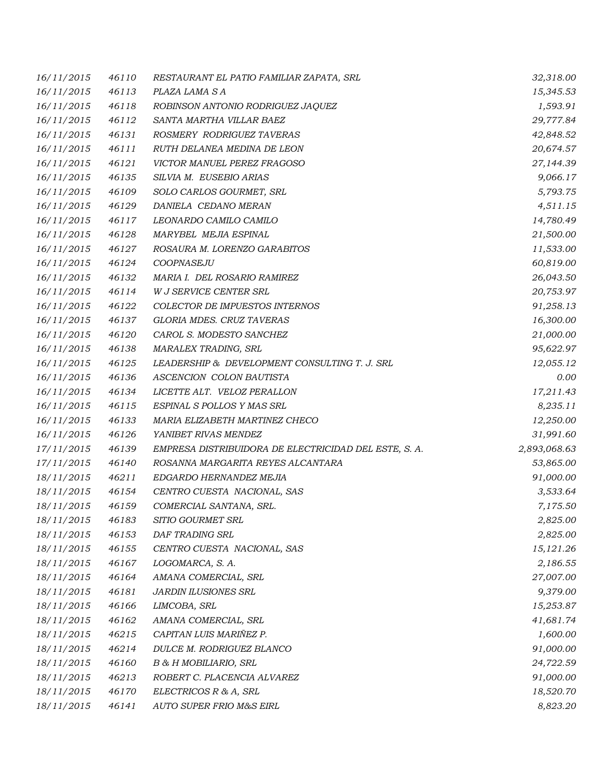| 16/11/2015 | 46110 | RESTAURANT EL PATIO FAMILIAR ZAPATA, SRL              | 32,318.00    |
|------------|-------|-------------------------------------------------------|--------------|
| 16/11/2015 | 46113 | PLAZA LAMA S A                                        | 15,345.53    |
| 16/11/2015 | 46118 | ROBINSON ANTONIO RODRIGUEZ JAQUEZ                     | 1,593.91     |
| 16/11/2015 | 46112 | SANTA MARTHA VILLAR BAEZ                              | 29,777.84    |
| 16/11/2015 | 46131 | ROSMERY RODRIGUEZ TAVERAS                             | 42,848.52    |
| 16/11/2015 | 46111 | RUTH DELANEA MEDINA DE LEON                           | 20,674.57    |
| 16/11/2015 | 46121 | VICTOR MANUEL PEREZ FRAGOSO                           | 27,144.39    |
| 16/11/2015 | 46135 | SILVIA M. EUSEBIO ARIAS                               | 9,066.17     |
| 16/11/2015 | 46109 | SOLO CARLOS GOURMET, SRL                              | 5,793.75     |
| 16/11/2015 | 46129 | DANIELA CEDANO MERAN                                  | 4,511.15     |
| 16/11/2015 | 46117 | LEONARDO CAMILO CAMILO                                | 14,780.49    |
| 16/11/2015 | 46128 | MARYBEL MEJIA ESPINAL                                 | 21,500.00    |
| 16/11/2015 | 46127 | ROSAURA M. LORENZO GARABITOS                          | 11,533.00    |
| 16/11/2015 | 46124 | COOPNASEJU                                            | 60,819.00    |
| 16/11/2015 | 46132 | MARIA I. DEL ROSARIO RAMIREZ                          | 26,043.50    |
| 16/11/2015 | 46114 | W J SERVICE CENTER SRL                                | 20,753.97    |
| 16/11/2015 | 46122 | COLECTOR DE IMPUESTOS INTERNOS                        | 91,258.13    |
| 16/11/2015 | 46137 | GLORIA MDES. CRUZ TAVERAS                             | 16,300.00    |
| 16/11/2015 | 46120 | CAROL S. MODESTO SANCHEZ                              | 21,000.00    |
| 16/11/2015 | 46138 | MARALEX TRADING, SRL                                  | 95,622.97    |
| 16/11/2015 | 46125 | LEADERSHIP & DEVELOPMENT CONSULTING T. J. SRL         | 12,055.12    |
| 16/11/2015 | 46136 | ASCENCION COLON BAUTISTA                              | 0.00         |
| 16/11/2015 | 46134 | LICETTE ALT. VELOZ PERALLON                           | 17,211.43    |
| 16/11/2015 | 46115 | ESPINAL S POLLOS Y MAS SRL                            | 8,235.11     |
| 16/11/2015 | 46133 | MARIA ELIZABETH MARTINEZ CHECO                        | 12,250.00    |
| 16/11/2015 | 46126 | YANIBET RIVAS MENDEZ                                  | 31,991.60    |
| 17/11/2015 | 46139 | EMPRESA DISTRIBUIDORA DE ELECTRICIDAD DEL ESTE, S. A. | 2,893,068.63 |
| 17/11/2015 | 46140 | ROSANNA MARGARITA REYES ALCANTARA                     | 53,865.00    |
| 18/11/2015 | 46211 | EDGARDO HERNANDEZ MEJIA                               | 91,000.00    |
| 18/11/2015 | 46154 | CENTRO CUESTA NACIONAL, SAS                           | 3,533.64     |
| 18/11/2015 | 46159 | COMERCIAL SANTANA, SRL.                               | 7,175.50     |
| 18/11/2015 | 46183 | SITIO GOURMET SRL                                     | 2,825.00     |
| 18/11/2015 | 46153 | DAF TRADING SRL                                       | 2,825.00     |
| 18/11/2015 | 46155 | CENTRO CUESTA NACIONAL, SAS                           | 15,121.26    |
| 18/11/2015 | 46167 | LOGOMARCA, S. A.                                      | 2,186.55     |
| 18/11/2015 | 46164 | AMANA COMERCIAL, SRL                                  | 27,007.00    |
| 18/11/2015 | 46181 | <b>JARDIN ILUSIONES SRL</b>                           | 9,379.00     |
| 18/11/2015 | 46166 | LIMCOBA, SRL                                          | 15,253.87    |
| 18/11/2015 | 46162 | AMANA COMERCIAL, SRL                                  | 41,681.74    |
| 18/11/2015 | 46215 | CAPITAN LUIS MARIÑEZ P.                               | 1,600.00     |
| 18/11/2015 | 46214 | DULCE M. RODRIGUEZ BLANCO                             | 91,000.00    |
| 18/11/2015 | 46160 | B & H MOBILIARIO, SRL                                 | 24,722.59    |
| 18/11/2015 | 46213 | ROBERT C. PLACENCIA ALVAREZ                           | 91,000.00    |
| 18/11/2015 | 46170 | ELECTRICOS R & A, SRL                                 | 18,520.70    |
| 18/11/2015 | 46141 | AUTO SUPER FRIO M&S EIRL                              | 8,823.20     |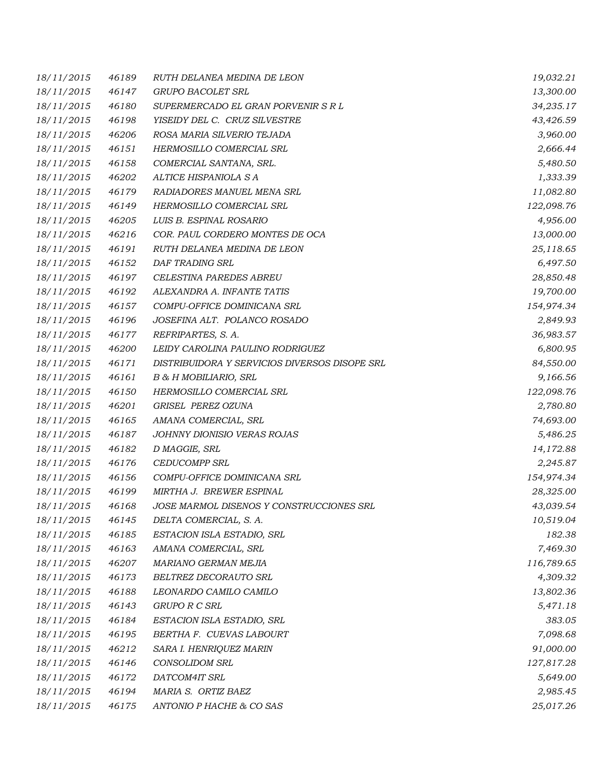| 18/11/2015 | 46189 | RUTH DELANEA MEDINA DE LEON                   | 19,032.21  |
|------------|-------|-----------------------------------------------|------------|
| 18/11/2015 | 46147 | GRUPO BACOLET SRL                             | 13,300.00  |
| 18/11/2015 | 46180 | SUPERMERCADO EL GRAN PORVENIR S R L           | 34,235.17  |
| 18/11/2015 | 46198 | YISEIDY DEL C. CRUZ SILVESTRE                 | 43,426.59  |
| 18/11/2015 | 46206 | ROSA MARIA SILVERIO TEJADA                    | 3,960.00   |
| 18/11/2015 | 46151 | HERMOSILLO COMERCIAL SRL                      | 2,666.44   |
| 18/11/2015 | 46158 | COMERCIAL SANTANA, SRL.                       | 5,480.50   |
| 18/11/2015 | 46202 | ALTICE HISPANIOLA S A                         | 1,333.39   |
| 18/11/2015 | 46179 | RADIADORES MANUEL MENA SRL                    | 11,082.80  |
| 18/11/2015 | 46149 | HERMOSILLO COMERCIAL SRL                      | 122,098.76 |
| 18/11/2015 | 46205 | LUIS B. ESPINAL ROSARIO                       | 4,956.00   |
| 18/11/2015 | 46216 | COR. PAUL CORDERO MONTES DE OCA               | 13,000.00  |
| 18/11/2015 | 46191 | RUTH DELANEA MEDINA DE LEON                   | 25,118.65  |
| 18/11/2015 | 46152 | DAF TRADING SRL                               | 6,497.50   |
| 18/11/2015 | 46197 | CELESTINA PAREDES ABREU                       | 28,850.48  |
| 18/11/2015 | 46192 | ALEXANDRA A. INFANTE TATIS                    | 19,700.00  |
| 18/11/2015 | 46157 | COMPU-OFFICE DOMINICANA SRL                   | 154,974.34 |
| 18/11/2015 | 46196 | JOSEFINA ALT. POLANCO ROSADO                  | 2,849.93   |
| 18/11/2015 | 46177 | REFRIPARTES, S. A.                            | 36,983.57  |
| 18/11/2015 | 46200 | LEIDY CAROLINA PAULINO RODRIGUEZ              | 6,800.95   |
| 18/11/2015 | 46171 | DISTRIBUIDORA Y SERVICIOS DIVERSOS DISOPE SRL | 84,550.00  |
| 18/11/2015 | 46161 | B & H MOBILIARIO, SRL                         | 9,166.56   |
| 18/11/2015 | 46150 | HERMOSILLO COMERCIAL SRL                      | 122,098.76 |
| 18/11/2015 | 46201 | GRISEL PEREZ OZUNA                            | 2,780.80   |
| 18/11/2015 | 46165 | AMANA COMERCIAL, SRL                          | 74,693.00  |
| 18/11/2015 | 46187 | JOHNNY DIONISIO VERAS ROJAS                   | 5,486.25   |
| 18/11/2015 | 46182 | D MAGGIE, SRL                                 | 14,172.88  |
| 18/11/2015 | 46176 | <b>CEDUCOMPP SRL</b>                          | 2,245.87   |
| 18/11/2015 | 46156 | COMPU-OFFICE DOMINICANA SRL                   | 154,974.34 |
| 18/11/2015 | 46199 | MIRTHA J. BREWER ESPINAL                      | 28,325.00  |
| 18/11/2015 | 46168 | JOSE MARMOL DISENOS Y CONSTRUCCIONES SRL      | 43,039.54  |
| 18/11/2015 | 46145 | DELTA COMERCIAL, S. A.                        | 10,519.04  |
| 18/11/2015 | 46185 | ESTACION ISLA ESTADIO, SRL                    | 182.38     |
| 18/11/2015 | 46163 | AMANA COMERCIAL, SRL                          | 7,469.30   |
| 18/11/2015 | 46207 | MARIANO GERMAN MEJIA                          | 116,789.65 |
| 18/11/2015 | 46173 | BELTREZ DECORAUTO SRL                         | 4,309.32   |
| 18/11/2015 | 46188 | LEONARDO CAMILO CAMILO                        | 13,802.36  |
| 18/11/2015 | 46143 | <b>GRUPO R C SRL</b>                          | 5,471.18   |
| 18/11/2015 | 46184 | ESTACION ISLA ESTADIO, SRL                    | 383.05     |
| 18/11/2015 | 46195 | BERTHA F. CUEVAS LABOURT                      | 7,098.68   |
| 18/11/2015 | 46212 | SARA I. HENRIQUEZ MARIN                       | 91,000.00  |
| 18/11/2015 | 46146 | <b>CONSOLIDOM SRL</b>                         | 127,817.28 |
| 18/11/2015 | 46172 | DATCOM4IT SRL                                 | 5,649.00   |
| 18/11/2015 | 46194 | MARIA S. ORTIZ BAEZ                           | 2,985.45   |
| 18/11/2015 | 46175 | ANTONIO P HACHE & CO SAS                      | 25,017.26  |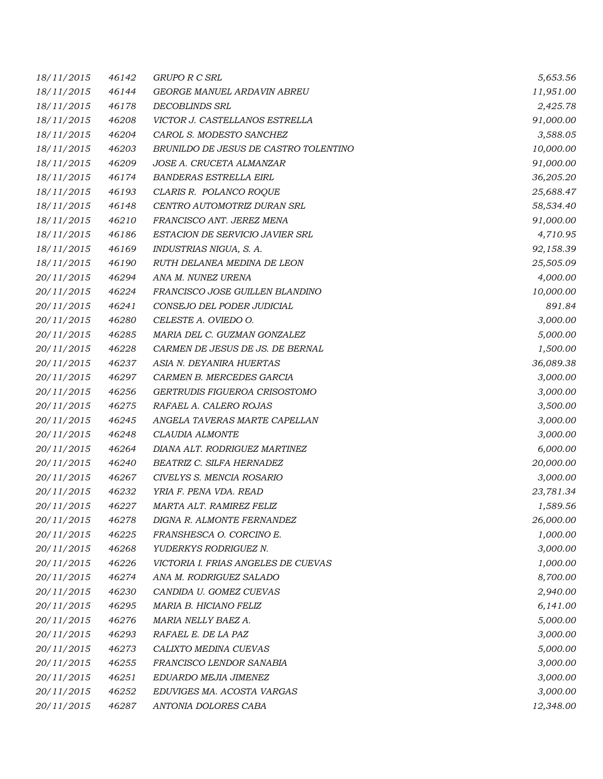| 18/11/2015 | 46142 | GRUPO R C SRL                         | 5,653.56  |
|------------|-------|---------------------------------------|-----------|
| 18/11/2015 | 46144 | GEORGE MANUEL ARDAVIN ABREU           | 11,951.00 |
| 18/11/2015 | 46178 | <b>DECOBLINDS SRL</b>                 | 2,425.78  |
| 18/11/2015 | 46208 | VICTOR J. CASTELLANOS ESTRELLA        | 91,000.00 |
| 18/11/2015 | 46204 | CAROL S. MODESTO SANCHEZ              | 3,588.05  |
| 18/11/2015 | 46203 | BRUNILDO DE JESUS DE CASTRO TOLENTINO | 10,000.00 |
| 18/11/2015 | 46209 | JOSE A. CRUCETA ALMANZAR              | 91,000.00 |
| 18/11/2015 | 46174 | <b>BANDERAS ESTRELLA EIRL</b>         | 36,205.20 |
| 18/11/2015 | 46193 | CLARIS R. POLANCO ROQUE               | 25,688.47 |
| 18/11/2015 | 46148 | CENTRO AUTOMOTRIZ DURAN SRL           | 58,534.40 |
| 18/11/2015 | 46210 | FRANCISCO ANT. JEREZ MENA             | 91,000.00 |
| 18/11/2015 | 46186 | ESTACION DE SERVICIO JAVIER SRL       | 4,710.95  |
| 18/11/2015 | 46169 | INDUSTRIAS NIGUA, S. A.               | 92,158.39 |
| 18/11/2015 | 46190 | RUTH DELANEA MEDINA DE LEON           | 25,505.09 |
| 20/11/2015 | 46294 | ANA M. NUNEZ URENA                    | 4,000.00  |
| 20/11/2015 | 46224 | FRANCISCO JOSE GUILLEN BLANDINO       | 10,000.00 |
| 20/11/2015 | 46241 | CONSEJO DEL PODER JUDICIAL            | 891.84    |
| 20/11/2015 | 46280 | CELESTE A. OVIEDO O.                  | 3,000.00  |
| 20/11/2015 | 46285 | MARIA DEL C. GUZMAN GONZALEZ          | 5,000.00  |
| 20/11/2015 | 46228 | CARMEN DE JESUS DE JS. DE BERNAL      | 1,500.00  |
| 20/11/2015 | 46237 | ASIA N. DEYANIRA HUERTAS              | 36,089.38 |
| 20/11/2015 | 46297 | CARMEN B. MERCEDES GARCIA             | 3,000.00  |
| 20/11/2015 | 46256 | GERTRUDIS FIGUEROA CRISOSTOMO         | 3,000.00  |
| 20/11/2015 | 46275 | RAFAEL A. CALERO ROJAS                | 3,500.00  |
| 20/11/2015 | 46245 | ANGELA TAVERAS MARTE CAPELLAN         | 3,000.00  |
| 20/11/2015 | 46248 | CLAUDIA ALMONTE                       | 3,000.00  |
| 20/11/2015 | 46264 | DIANA ALT. RODRIGUEZ MARTINEZ         | 6,000.00  |
| 20/11/2015 | 46240 | BEATRIZ C. SILFA HERNADEZ             | 20,000.00 |
| 20/11/2015 | 46267 | CIVELYS S. MENCIA ROSARIO             | 3,000.00  |
| 20/11/2015 | 46232 | YRIA F. PENA VDA. READ                | 23,781.34 |
| 20/11/2015 | 46227 | MARTA ALT. RAMIREZ FELIZ              | 1,589.56  |
| 20/11/2015 | 46278 | DIGNA R. ALMONTE FERNANDEZ            | 26,000.00 |
| 20/11/2015 | 46225 | FRANSHESCA O. CORCINO E.              | 1,000.00  |
| 20/11/2015 | 46268 | YUDERKYS RODRIGUEZ N.                 | 3,000.00  |
| 20/11/2015 | 46226 | VICTORIA I. FRIAS ANGELES DE CUEVAS   | 1,000.00  |
| 20/11/2015 | 46274 | ANA M. RODRIGUEZ SALADO               | 8,700.00  |
| 20/11/2015 | 46230 | CANDIDA U. GOMEZ CUEVAS               | 2,940.00  |
| 20/11/2015 | 46295 | MARIA B. HICIANO FELIZ                | 6,141.00  |
| 20/11/2015 | 46276 | MARIA NELLY BAEZ A.                   | 5,000.00  |
| 20/11/2015 | 46293 | RAFAEL E. DE LA PAZ                   | 3,000.00  |
| 20/11/2015 | 46273 | CALIXTO MEDINA CUEVAS                 | 5,000.00  |
| 20/11/2015 | 46255 | FRANCISCO LENDOR SANABIA              | 3,000.00  |
| 20/11/2015 | 46251 | EDUARDO MEJIA JIMENEZ                 | 3,000.00  |
| 20/11/2015 | 46252 | EDUVIGES MA. ACOSTA VARGAS            | 3,000.00  |
| 20/11/2015 | 46287 | ANTONIA DOLORES CABA                  | 12,348.00 |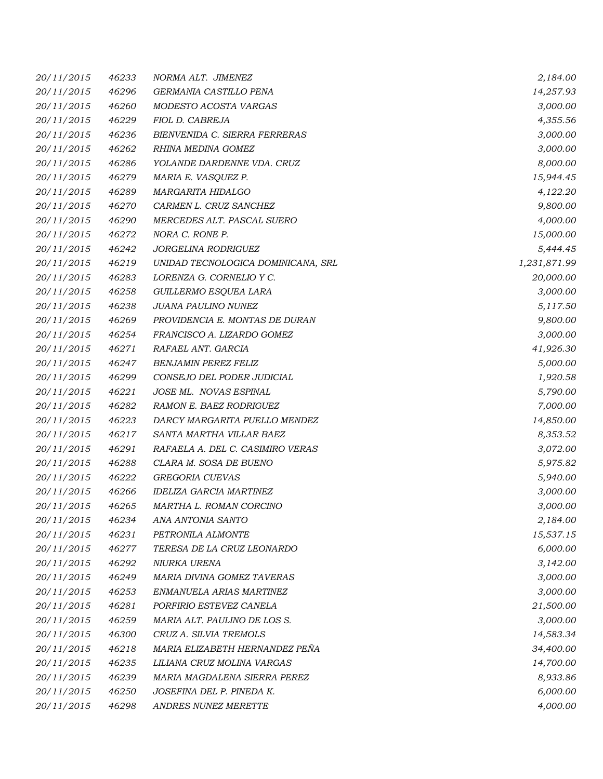| <i>20/11/2015</i> | 46233 | NORMA ALT. JIMENEZ                   | 2,184.00     |
|-------------------|-------|--------------------------------------|--------------|
| 20/11/2015        | 46296 | GERMANIA CASTILLO PENA               | 14,257.93    |
| 20/11/2015        | 46260 | MODESTO ACOSTA VARGAS                | 3,000.00     |
| 20/11/2015        | 46229 | FIOL D. CABREJA                      | 4,355.56     |
| 20/11/2015        | 46236 | <b>BIENVENIDA C. SIERRA FERRERAS</b> | 3,000.00     |
| 20/11/2015        | 46262 | RHINA MEDINA GOMEZ                   | 3,000.00     |
| 20/11/2015        | 46286 | YOLANDE DARDENNE VDA. CRUZ           | 8,000.00     |
| 20/11/2015        | 46279 | MARIA E. VASQUEZ P.                  | 15,944.45    |
| 20/11/2015        | 46289 | MARGARITA HIDALGO                    | 4,122.20     |
| 20/11/2015        | 46270 | CARMEN L. CRUZ SANCHEZ               | 9,800.00     |
| 20/11/2015        | 46290 | MERCEDES ALT. PASCAL SUERO           | 4,000.00     |
| 20/11/2015        | 46272 | NORA C. RONE P.                      | 15,000.00    |
| 20/11/2015        | 46242 | JORGELINA RODRIGUEZ                  | 5,444.45     |
| 20/11/2015        | 46219 | UNIDAD TECNOLOGICA DOMINICANA, SRL   | 1,231,871.99 |
| 20/11/2015        | 46283 | LORENZA G. CORNELIO Y C.             | 20,000.00    |
| 20/11/2015        | 46258 | GUILLERMO ESQUEA LARA                | 3,000.00     |
| 20/11/2015        | 46238 | <b>JUANA PAULINO NUNEZ</b>           | 5,117.50     |
| 20/11/2015        | 46269 | PROVIDENCIA E. MONTAS DE DURAN       | 9,800.00     |
| 20/11/2015        | 46254 | FRANCISCO A. LIZARDO GOMEZ           | 3,000.00     |
| 20/11/2015        | 46271 | RAFAEL ANT. GARCIA                   | 41,926.30    |
| 20/11/2015        | 46247 | <b>BENJAMIN PEREZ FELIZ</b>          | 5,000.00     |
| 20/11/2015        | 46299 | CONSEJO DEL PODER JUDICIAL           | 1,920.58     |
| 20/11/2015        | 46221 | JOSE ML. NOVAS ESPINAL               | 5,790.00     |
| 20/11/2015        | 46282 | RAMON E. BAEZ RODRIGUEZ              | 7,000.00     |
| 20/11/2015        | 46223 | DARCY MARGARITA PUELLO MENDEZ        | 14,850.00    |
| 20/11/2015        | 46217 | SANTA MARTHA VILLAR BAEZ             | 8,353.52     |
| 20/11/2015        | 46291 | RAFAELA A. DEL C. CASIMIRO VERAS     | 3,072.00     |
| 20/11/2015        | 46288 | CLARA M. SOSA DE BUENO               | 5,975.82     |
| 20/11/2015        | 46222 | GREGORIA CUEVAS                      | 5,940.00     |
| 20/11/2015        | 46266 | <b>IDELIZA GARCIA MARTINEZ</b>       | 3,000.00     |
| 20/11/2015        | 46265 | MARTHA L. ROMAN CORCINO              | 3,000.00     |
| <i>20/11/2015</i> | 46234 | ANA ANTONIA SANTO                    | 2,184.00     |
| 20/11/2015        | 46231 | PETRONILA ALMONTE                    | 15,537.15    |
| 20/11/2015        | 46277 | TERESA DE LA CRUZ LEONARDO           | 6,000.00     |
| 20/11/2015        | 46292 | NIURKA URENA                         | 3,142.00     |
| 20/11/2015        | 46249 | MARIA DIVINA GOMEZ TAVERAS           | 3,000.00     |
| 20/11/2015        | 46253 | ENMANUELA ARIAS MARTINEZ             | 3,000.00     |
| 20/11/2015        | 46281 | PORFIRIO ESTEVEZ CANELA              | 21,500.00    |
| 20/11/2015        | 46259 | MARIA ALT. PAULINO DE LOS S.         | 3,000.00     |
| 20/11/2015        | 46300 | CRUZ A. SILVIA TREMOLS               | 14,583.34    |
| 20/11/2015        | 46218 | MARIA ELIZABETH HERNANDEZ PEÑA       | 34,400.00    |
| 20/11/2015        | 46235 | LILIANA CRUZ MOLINA VARGAS           | 14,700.00    |
| 20/11/2015        | 46239 | MARIA MAGDALENA SIERRA PEREZ         | 8,933.86     |
| 20/11/2015        | 46250 | JOSEFINA DEL P. PINEDA K.            | 6,000.00     |
| 20/11/2015        | 46298 | ANDRES NUNEZ MERETTE                 | 4,000.00     |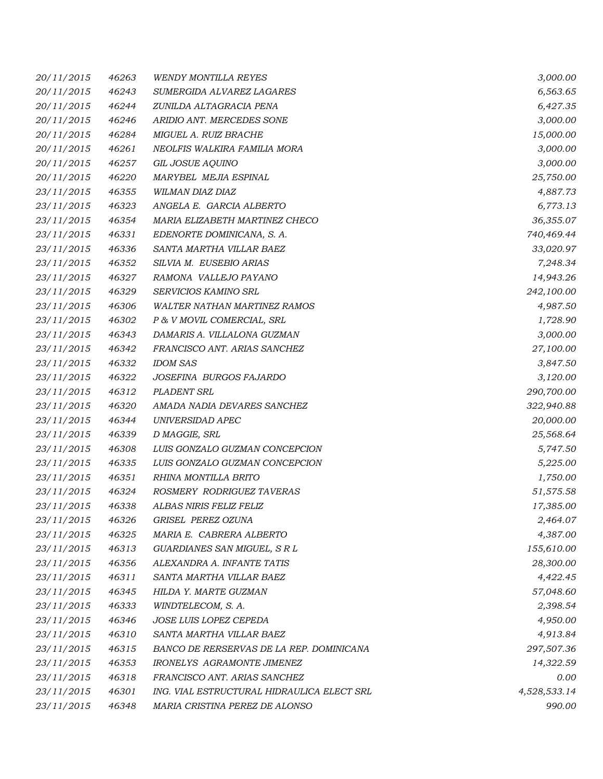| 20/11/2015 | 46263 | <b>WENDY MONTILLA REYES</b>                | 3,000.00     |
|------------|-------|--------------------------------------------|--------------|
| 20/11/2015 | 46243 | SUMERGIDA ALVAREZ LAGARES                  | 6,563.65     |
| 20/11/2015 | 46244 | ZUNILDA ALTAGRACIA PENA                    | 6,427.35     |
| 20/11/2015 | 46246 | ARIDIO ANT. MERCEDES SONE                  | 3,000.00     |
| 20/11/2015 | 46284 | MIGUEL A. RUIZ BRACHE                      | 15,000.00    |
| 20/11/2015 | 46261 | NEOLFIS WALKIRA FAMILIA MORA               | 3,000.00     |
| 20/11/2015 | 46257 | GIL JOSUE AQUINO                           | 3,000.00     |
| 20/11/2015 | 46220 | MARYBEL MEJIA ESPINAL                      | 25,750.00    |
| 23/11/2015 | 46355 | WILMAN DIAZ DIAZ                           | 4,887.73     |
| 23/11/2015 | 46323 | ANGELA E. GARCIA ALBERTO                   | 6,773.13     |
| 23/11/2015 | 46354 | MARIA ELIZABETH MARTINEZ CHECO             | 36,355.07    |
| 23/11/2015 | 46331 | EDENORTE DOMINICANA, S. A.                 | 740,469.44   |
| 23/11/2015 | 46336 | SANTA MARTHA VILLAR BAEZ                   | 33,020.97    |
| 23/11/2015 | 46352 | SILVIA M. EUSEBIO ARIAS                    | 7,248.34     |
| 23/11/2015 | 46327 | RAMONA VALLEJO PAYANO                      | 14,943.26    |
| 23/11/2015 | 46329 | SERVICIOS KAMINO SRL                       | 242,100.00   |
| 23/11/2015 | 46306 | <b>WALTER NATHAN MARTINEZ RAMOS</b>        | 4,987.50     |
| 23/11/2015 | 46302 | P & V MOVIL COMERCIAL, SRL                 | 1,728.90     |
| 23/11/2015 | 46343 | DAMARIS A. VILLALONA GUZMAN                | 3,000.00     |
| 23/11/2015 | 46342 | FRANCISCO ANT. ARIAS SANCHEZ               | 27,100.00    |
| 23/11/2015 | 46332 | <b>IDOM SAS</b>                            | 3,847.50     |
| 23/11/2015 | 46322 | JOSEFINA BURGOS FAJARDO                    | 3,120.00     |
| 23/11/2015 | 46312 | PLADENT SRL                                | 290,700.00   |
| 23/11/2015 | 46320 | AMADA NADIA DEVARES SANCHEZ                | 322,940.88   |
| 23/11/2015 | 46344 | UNIVERSIDAD APEC                           | 20,000.00    |
| 23/11/2015 | 46339 | D MAGGIE, SRL                              | 25,568.64    |
| 23/11/2015 | 46308 | LUIS GONZALO GUZMAN CONCEPCION             | 5,747.50     |
| 23/11/2015 | 46335 | LUIS GONZALO GUZMAN CONCEPCION             | 5,225.00     |
| 23/11/2015 | 46351 | RHINA MONTILLA BRITO                       | 1,750.00     |
| 23/11/2015 | 46324 | ROSMERY RODRIGUEZ TAVERAS                  | 51,575.58    |
| 23/11/2015 | 46338 | ALBAS NIRIS FELIZ FELIZ                    | 17,385.00    |
| 23/11/2015 | 46326 | GRISEL PEREZ OZUNA                         | 2,464.07     |
| 23/11/2015 | 46325 | MARIA E. CABRERA ALBERTO                   | 4,387.00     |
| 23/11/2015 | 46313 | GUARDIANES SAN MIGUEL, S R L               | 155,610.00   |
| 23/11/2015 | 46356 | ALEXANDRA A. INFANTE TATIS                 | 28,300.00    |
| 23/11/2015 | 46311 | SANTA MARTHA VILLAR BAEZ                   | 4,422.45     |
| 23/11/2015 | 46345 | HILDA Y. MARTE GUZMAN                      | 57,048.60    |
| 23/11/2015 | 46333 | WINDTELECOM, S. A.                         | 2,398.54     |
| 23/11/2015 | 46346 | JOSE LUIS LOPEZ CEPEDA                     | 4,950.00     |
| 23/11/2015 | 46310 | SANTA MARTHA VILLAR BAEZ                   | 4,913.84     |
| 23/11/2015 | 46315 | BANCO DE RERSERVAS DE LA REP. DOMINICANA   | 297,507.36   |
| 23/11/2015 | 46353 | IRONELYS AGRAMONTE JIMENEZ                 | 14,322.59    |
| 23/11/2015 | 46318 | FRANCISCO ANT. ARIAS SANCHEZ               | 0.00         |
| 23/11/2015 | 46301 | ING. VIAL ESTRUCTURAL HIDRAULICA ELECT SRL | 4,528,533.14 |
| 23/11/2015 | 46348 | MARIA CRISTINA PEREZ DE ALONSO             | 990.00       |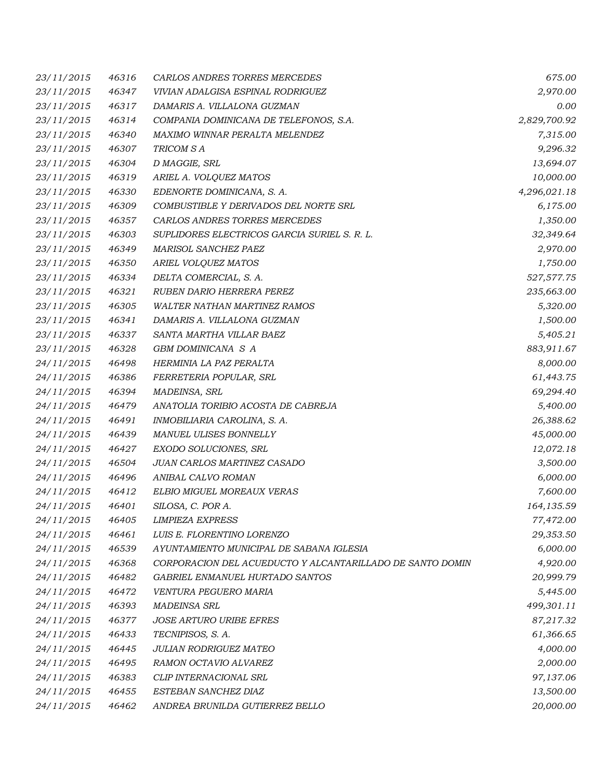| 23/11/2015 | 46316 | CARLOS ANDRES TORRES MERCEDES                             | 675.00       |
|------------|-------|-----------------------------------------------------------|--------------|
| 23/11/2015 | 46347 | VIVIAN ADALGISA ESPINAL RODRIGUEZ                         | 2,970.00     |
| 23/11/2015 | 46317 | DAMARIS A. VILLALONA GUZMAN                               | 0.00         |
| 23/11/2015 | 46314 | COMPANIA DOMINICANA DE TELEFONOS, S.A.                    | 2,829,700.92 |
| 23/11/2015 | 46340 | MAXIMO WINNAR PERALTA MELENDEZ                            | 7,315.00     |
| 23/11/2015 | 46307 | TRICOM SA                                                 | 9,296.32     |
| 23/11/2015 | 46304 | D MAGGIE, SRL                                             | 13,694.07    |
| 23/11/2015 | 46319 | ARIEL A. VOLQUEZ MATOS                                    | 10,000.00    |
| 23/11/2015 | 46330 | EDENORTE DOMINICANA, S. A.                                | 4,296,021.18 |
| 23/11/2015 | 46309 | COMBUSTIBLE Y DERIVADOS DEL NORTE SRL                     | 6,175.00     |
| 23/11/2015 | 46357 | CARLOS ANDRES TORRES MERCEDES                             | 1,350.00     |
| 23/11/2015 | 46303 | SUPLIDORES ELECTRICOS GARCIA SURIEL S. R. L.              | 32,349.64    |
| 23/11/2015 | 46349 | MARISOL SANCHEZ PAEZ                                      | 2,970.00     |
| 23/11/2015 | 46350 | ARIEL VOLQUEZ MATOS                                       | 1,750.00     |
| 23/11/2015 | 46334 | DELTA COMERCIAL, S. A.                                    | 527,577.75   |
| 23/11/2015 | 46321 | RUBEN DARIO HERRERA PEREZ                                 | 235,663.00   |
| 23/11/2015 | 46305 | <b>WALTER NATHAN MARTINEZ RAMOS</b>                       | 5,320.00     |
| 23/11/2015 | 46341 | DAMARIS A. VILLALONA GUZMAN                               | 1,500.00     |
| 23/11/2015 | 46337 | SANTA MARTHA VILLAR BAEZ                                  | 5,405.21     |
| 23/11/2015 | 46328 | GBM DOMINICANA S A                                        | 883,911.67   |
| 24/11/2015 | 46498 | HERMINIA LA PAZ PERALTA                                   | 8,000.00     |
| 24/11/2015 | 46386 | FERRETERIA POPULAR, SRL                                   | 61,443.75    |
| 24/11/2015 | 46394 | MADEINSA, SRL                                             | 69,294.40    |
| 24/11/2015 | 46479 | ANATOLIA TORIBIO ACOSTA DE CABREJA                        | 5,400.00     |
| 24/11/2015 | 46491 | INMOBILIARIA CAROLINA, S. A.                              | 26,388.62    |
| 24/11/2015 | 46439 | MANUEL ULISES BONNELLY                                    | 45,000.00    |
| 24/11/2015 | 46427 | EXODO SOLUCIONES, SRL                                     | 12,072.18    |
| 24/11/2015 | 46504 | JUAN CARLOS MARTINEZ CASADO                               | 3,500.00     |
| 24/11/2015 | 46496 | ANIBAL CALVO ROMAN                                        | 6,000.00     |
| 24/11/2015 | 46412 | ELBIO MIGUEL MOREAUX VERAS                                | 7,600.00     |
| 24/11/2015 | 46401 | SILOSA, C. POR A.                                         | 164,135.59   |
| 24/11/2015 | 46405 | <b>LIMPIEZA EXPRESS</b>                                   | 77,472.00    |
| 24/11/2015 | 46461 | LUIS E. FLORENTINO LORENZO                                | 29,353.50    |
| 24/11/2015 | 46539 | AYUNTAMIENTO MUNICIPAL DE SABANA IGLESIA                  | 6,000.00     |
| 24/11/2015 | 46368 | CORPORACION DEL ACUEDUCTO Y ALCANTARILLADO DE SANTO DOMIN | 4,920.00     |
| 24/11/2015 | 46482 | GABRIEL ENMANUEL HURTADO SANTOS                           | 20,999.79    |
| 24/11/2015 | 46472 | VENTURA PEGUERO MARIA                                     | 5,445.00     |
| 24/11/2015 | 46393 | <b>MADEINSA SRL</b>                                       | 499,301.11   |
| 24/11/2015 | 46377 | <b>JOSE ARTURO URIBE EFRES</b>                            | 87,217.32    |
| 24/11/2015 | 46433 | TECNIPISOS, S. A.                                         | 61,366.65    |
| 24/11/2015 | 46445 | <b>JULIAN RODRIGUEZ MATEO</b>                             | 4,000.00     |
| 24/11/2015 | 46495 | RAMON OCTAVIO ALVAREZ                                     | 2,000.00     |
| 24/11/2015 | 46383 | CLIP INTERNACIONAL SRL                                    | 97,137.06    |
| 24/11/2015 | 46455 | ESTEBAN SANCHEZ DIAZ                                      | 13,500.00    |
| 24/11/2015 | 46462 | ANDREA BRUNILDA GUTIERREZ BELLO                           | 20,000.00    |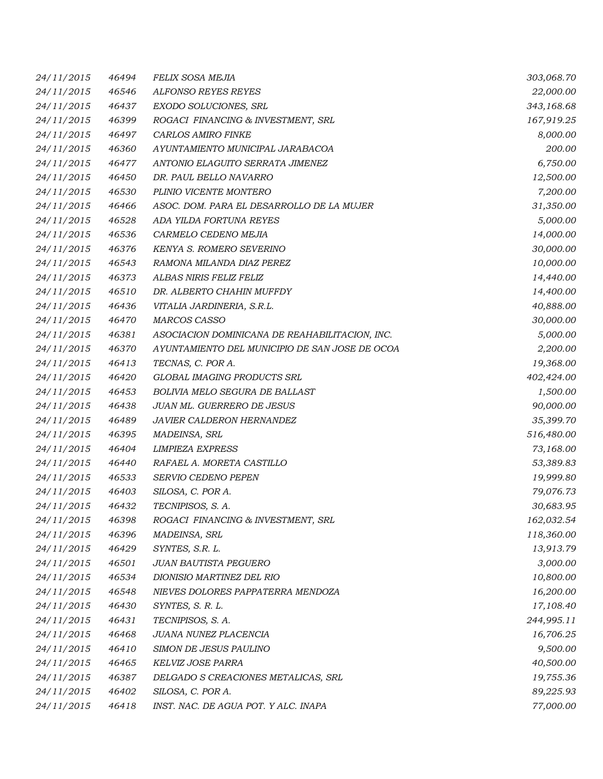| <i>24/11/2015</i> | 46494 | <b>FELIX SOSA MEJIA</b>                        | 303,068.70 |
|-------------------|-------|------------------------------------------------|------------|
| 24/11/2015        | 46546 | ALFONSO REYES REYES                            | 22,000.00  |
| 24/11/2015        | 46437 | EXODO SOLUCIONES, SRL                          | 343,168.68 |
| 24/11/2015        | 46399 | ROGACI FINANCING & INVESTMENT, SRL             | 167,919.25 |
| 24/11/2015        | 46497 | CARLOS AMIRO FINKE                             | 8,000.00   |
| 24/11/2015        | 46360 | AYUNTAMIENTO MUNICIPAL JARABACOA               | 200.00     |
| 24/11/2015        | 46477 | ANTONIO ELAGUITO SERRATA JIMENEZ               | 6,750.00   |
| 24/11/2015        | 46450 | DR. PAUL BELLO NAVARRO                         | 12,500.00  |
| 24/11/2015        | 46530 | PLINIO VICENTE MONTERO                         | 7,200.00   |
| 24/11/2015        | 46466 | ASOC. DOM. PARA EL DESARROLLO DE LA MUJER      | 31,350.00  |
| 24/11/2015        | 46528 | ADA YILDA FORTUNA REYES                        | 5,000.00   |
| 24/11/2015        | 46536 | CARMELO CEDENO MEJIA                           | 14,000.00  |
| 24/11/2015        | 46376 | KENYA S. ROMERO SEVERINO                       | 30,000.00  |
| 24/11/2015        | 46543 | RAMONA MILANDA DIAZ PEREZ                      | 10,000.00  |
| 24/11/2015        | 46373 | ALBAS NIRIS FELIZ FELIZ                        | 14,440.00  |
| 24/11/2015        | 46510 | DR. ALBERTO CHAHIN MUFFDY                      | 14,400.00  |
| 24/11/2015        | 46436 | VITALIA JARDINERIA, S.R.L.                     | 40,888.00  |
| 24/11/2015        | 46470 | <b>MARCOS CASSO</b>                            | 30,000.00  |
| 24/11/2015        | 46381 | ASOCIACION DOMINICANA DE REAHABILITACION, INC. | 5,000.00   |
| 24/11/2015        | 46370 | AYUNTAMIENTO DEL MUNICIPIO DE SAN JOSE DE OCOA | 2,200.00   |
| 24/11/2015        | 46413 | TECNAS, C. POR A.                              | 19,368.00  |
| 24/11/2015        | 46420 | GLOBAL IMAGING PRODUCTS SRL                    | 402,424.00 |
| 24/11/2015        | 46453 | BOLIVIA MELO SEGURA DE BALLAST                 | 1,500.00   |
| 24/11/2015        | 46438 | JUAN ML. GUERRERO DE JESUS                     | 90,000.00  |
| 24/11/2015        | 46489 | JAVIER CALDERON HERNANDEZ                      | 35,399.70  |
| 24/11/2015        | 46395 | MADEINSA, SRL                                  | 516,480.00 |
| 24/11/2015        | 46404 | <b>LIMPIEZA EXPRESS</b>                        | 73,168.00  |
| 24/11/2015        | 46440 | RAFAEL A. MORETA CASTILLO                      | 53,389.83  |
| 24/11/2015        | 46533 | <b>SERVIO CEDENO PEPEN</b>                     | 19,999.80  |
| 24/11/2015        | 46403 | SILOSA, C. POR A.                              | 79,076.73  |
| 24/11/2015        | 46432 | TECNIPISOS, S. A.                              | 30,683.95  |
| <i>24/11/2015</i> | 46398 | ROGACI FINANCING & INVESTMENT, SRL             | 162,032.54 |
| 24/11/2015        | 46396 | MADEINSA, SRL                                  | 118,360.00 |
| 24/11/2015        | 46429 | SYNTES, S.R. L.                                | 13,913.79  |
| 24/11/2015        | 46501 | <b>JUAN BAUTISTA PEGUERO</b>                   | 3,000.00   |
| 24/11/2015        | 46534 | DIONISIO MARTINEZ DEL RIO                      | 10,800.00  |
| 24/11/2015        | 46548 | NIEVES DOLORES PAPPATERRA MENDOZA              | 16,200.00  |
| 24/11/2015        | 46430 | SYNTES, S. R. L.                               | 17,108.40  |
| 24/11/2015        | 46431 | TECNIPISOS, S. A.                              | 244,995.11 |
| 24/11/2015        | 46468 | JUANA NUNEZ PLACENCIA                          | 16,706.25  |
| 24/11/2015        | 46410 | SIMON DE JESUS PAULINO                         | 9,500.00   |
| 24/11/2015        | 46465 | <b>KELVIZ JOSE PARRA</b>                       | 40,500.00  |
| 24/11/2015        | 46387 | DELGADO S CREACIONES METALICAS, SRL            | 19,755.36  |
| 24/11/2015        | 46402 | SILOSA, C. POR A.                              | 89,225.93  |
| 24/11/2015        | 46418 | INST. NAC. DE AGUA POT. Y ALC. INAPA           | 77,000.00  |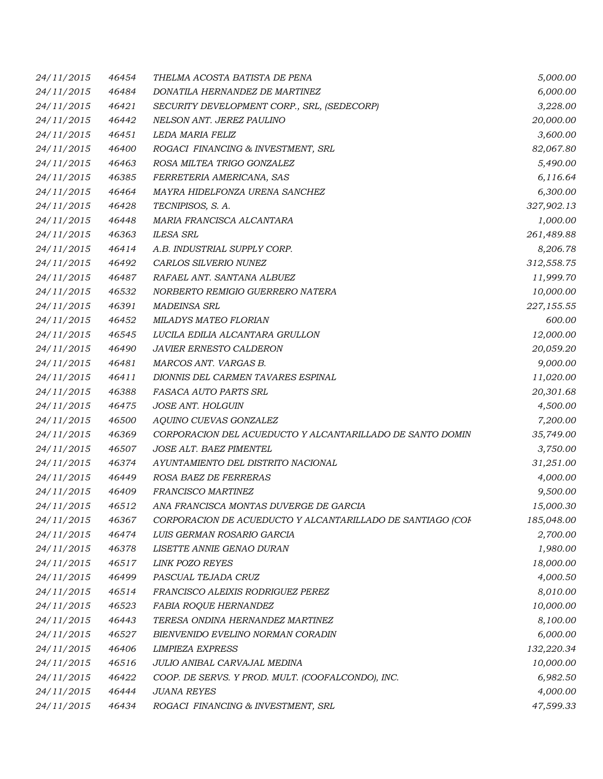| 24/11/2015 | 46454 | THELMA ACOSTA BATISTA DE PENA                              | 5,000.00   |
|------------|-------|------------------------------------------------------------|------------|
| 24/11/2015 | 46484 | DONATILA HERNANDEZ DE MARTINEZ                             | 6,000.00   |
| 24/11/2015 | 46421 | SECURITY DEVELOPMENT CORP., SRL, (SEDECORP)                | 3,228.00   |
| 24/11/2015 | 46442 | NELSON ANT. JEREZ PAULINO                                  | 20,000.00  |
| 24/11/2015 | 46451 | LEDA MARIA FELIZ                                           | 3,600.00   |
| 24/11/2015 | 46400 | ROGACI FINANCING & INVESTMENT, SRL                         | 82,067.80  |
| 24/11/2015 | 46463 | ROSA MILTEA TRIGO GONZALEZ                                 | 5,490.00   |
| 24/11/2015 | 46385 | FERRETERIA AMERICANA, SAS                                  | 6,116.64   |
| 24/11/2015 | 46464 | MAYRA HIDELFONZA URENA SANCHEZ                             | 6,300.00   |
| 24/11/2015 | 46428 | TECNIPISOS, S. A.                                          | 327,902.13 |
| 24/11/2015 | 46448 | MARIA FRANCISCA ALCANTARA                                  | 1,000.00   |
| 24/11/2015 | 46363 | <b>ILESA SRL</b>                                           | 261,489.88 |
| 24/11/2015 | 46414 | A.B. INDUSTRIAL SUPPLY CORP.                               | 8,206.78   |
| 24/11/2015 | 46492 | CARLOS SILVERIO NUNEZ                                      | 312,558.75 |
| 24/11/2015 | 46487 | RAFAEL ANT. SANTANA ALBUEZ                                 | 11,999.70  |
| 24/11/2015 | 46532 | NORBERTO REMIGIO GUERRERO NATERA                           | 10,000.00  |
| 24/11/2015 | 46391 | <b>MADEINSA SRL</b>                                        | 227,155.55 |
| 24/11/2015 | 46452 | <b>MILADYS MATEO FLORIAN</b>                               | 600.00     |
| 24/11/2015 | 46545 | LUCILA EDILIA ALCANTARA GRULLON                            | 12,000.00  |
| 24/11/2015 | 46490 | <b>JAVIER ERNESTO CALDERON</b>                             | 20,059.20  |
| 24/11/2015 | 46481 | MARCOS ANT. VARGAS B.                                      | 9,000.00   |
| 24/11/2015 | 46411 | DIONNIS DEL CARMEN TAVARES ESPINAL                         | 11,020.00  |
| 24/11/2015 | 46388 | FASACA AUTO PARTS SRL                                      | 20,301.68  |
| 24/11/2015 | 46475 | JOSE ANT. HOLGUIN                                          | 4,500.00   |
| 24/11/2015 | 46500 | AQUINO CUEVAS GONZALEZ                                     | 7,200.00   |
| 24/11/2015 | 46369 | CORPORACION DEL ACUEDUCTO Y ALCANTARILLADO DE SANTO DOMIN  | 35,749.00  |
| 24/11/2015 | 46507 | JOSE ALT. BAEZ PIMENTEL                                    | 3,750.00   |
| 24/11/2015 | 46374 | AYUNTAMIENTO DEL DISTRITO NACIONAL                         | 31,251.00  |
| 24/11/2015 | 46449 | ROSA BAEZ DE FERRERAS                                      | 4,000.00   |
| 24/11/2015 | 46409 | FRANCISCO MARTINEZ                                         | 9,500.00   |
| 24/11/2015 | 46512 | ANA FRANCISCA MONTAS DUVERGE DE GARCIA                     | 15,000.30  |
| 24/11/2015 | 46367 | CORPORACION DE ACUEDUCTO Y ALCANTARILLADO DE SANTIAGO (COF | 185,048.00 |
| 24/11/2015 | 46474 | LUIS GERMAN ROSARIO GARCIA                                 | 2,700.00   |
| 24/11/2015 | 46378 | LISETTE ANNIE GENAO DURAN                                  | 1,980.00   |
| 24/11/2015 | 46517 | LINK POZO REYES                                            | 18,000.00  |
| 24/11/2015 | 46499 | PASCUAL TEJADA CRUZ                                        | 4,000.50   |
| 24/11/2015 | 46514 | FRANCISCO ALEIXIS RODRIGUEZ PEREZ                          | 8,010.00   |
| 24/11/2015 | 46523 | FABIA ROQUE HERNANDEZ                                      | 10,000.00  |
| 24/11/2015 | 46443 | TERESA ONDINA HERNANDEZ MARTINEZ                           | 8,100.00   |
| 24/11/2015 | 46527 | BIENVENIDO EVELINO NORMAN CORADIN                          | 6,000.00   |
| 24/11/2015 | 46406 | <b>LIMPIEZA EXPRESS</b>                                    | 132,220.34 |
| 24/11/2015 | 46516 | JULIO ANIBAL CARVAJAL MEDINA                               | 10,000.00  |
| 24/11/2015 | 46422 | COOP. DE SERVS. Y PROD. MULT. (COOFALCONDO), INC.          | 6,982.50   |
| 24/11/2015 | 46444 | <b>JUANA REYES</b>                                         | 4,000.00   |
| 24/11/2015 | 46434 | ROGACI FINANCING & INVESTMENT, SRL                         | 47,599.33  |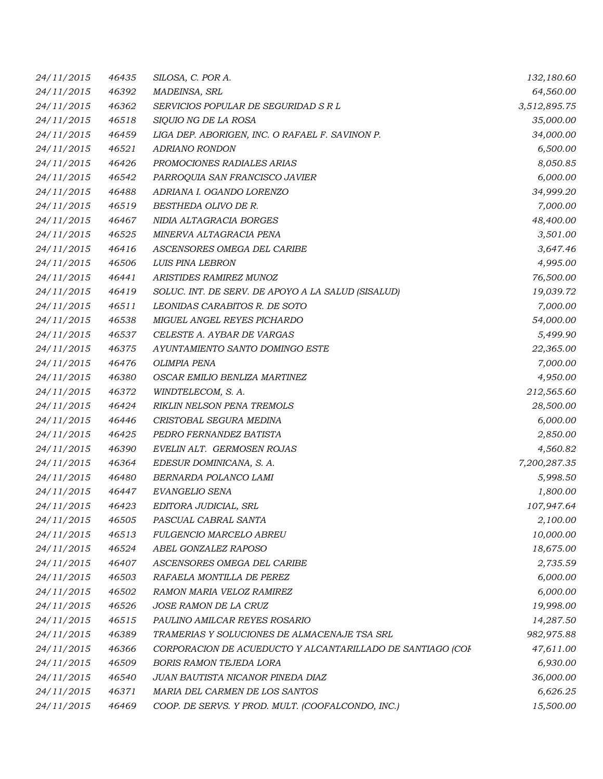| 24/11/2015 | 46435 | SILOSA, C. POR A.                                          | 132,180.60   |
|------------|-------|------------------------------------------------------------|--------------|
| 24/11/2015 | 46392 | MADEINSA, SRL                                              | 64,560.00    |
| 24/11/2015 | 46362 | SERVICIOS POPULAR DE SEGURIDAD S R L                       | 3,512,895.75 |
| 24/11/2015 | 46518 | SIQUIO NG DE LA ROSA                                       | 35,000.00    |
| 24/11/2015 | 46459 | LIGA DEP. ABORIGEN, INC. O RAFAEL F. SAVINON P.            | 34,000.00    |
| 24/11/2015 | 46521 | <b>ADRIANO RONDON</b>                                      | 6,500.00     |
| 24/11/2015 | 46426 | PROMOCIONES RADIALES ARIAS                                 | 8,050.85     |
| 24/11/2015 | 46542 | PARROQUIA SAN FRANCISCO JAVIER                             | 6,000.00     |
| 24/11/2015 | 46488 | ADRIANA I. OGANDO LORENZO                                  | 34,999.20    |
| 24/11/2015 | 46519 | BESTHEDA OLIVO DE R.                                       | 7,000.00     |
| 24/11/2015 | 46467 | NIDIA ALTAGRACIA BORGES                                    | 48,400.00    |
| 24/11/2015 | 46525 | MINERVA ALTAGRACIA PENA                                    | 3,501.00     |
| 24/11/2015 | 46416 | ASCENSORES OMEGA DEL CARIBE                                | 3,647.46     |
| 24/11/2015 | 46506 | LUIS PINA LEBRON                                           | 4,995.00     |
| 24/11/2015 | 46441 | ARISTIDES RAMIREZ MUNOZ                                    | 76,500.00    |
| 24/11/2015 | 46419 | SOLUC. INT. DE SERV. DE APOYO A LA SALUD (SISALUD)         | 19,039.72    |
| 24/11/2015 | 46511 | LEONIDAS CARABITOS R. DE SOTO                              | 7,000.00     |
| 24/11/2015 | 46538 | MIGUEL ANGEL REYES PICHARDO                                | 54,000.00    |
| 24/11/2015 | 46537 | CELESTE A. AYBAR DE VARGAS                                 | 5,499.90     |
| 24/11/2015 | 46375 | AYUNTAMIENTO SANTO DOMINGO ESTE                            | 22,365.00    |
| 24/11/2015 | 46476 | <b>OLIMPIA PENA</b>                                        | 7,000.00     |
| 24/11/2015 | 46380 | OSCAR EMILIO BENLIZA MARTINEZ                              | 4,950.00     |
| 24/11/2015 | 46372 | WINDTELECOM, S. A.                                         | 212,565.60   |
| 24/11/2015 | 46424 | RIKLIN NELSON PENA TREMOLS                                 | 28,500.00    |
| 24/11/2015 | 46446 | CRISTOBAL SEGURA MEDINA                                    | 6,000.00     |
| 24/11/2015 | 46425 | PEDRO FERNANDEZ BATISTA                                    | 2,850.00     |
| 24/11/2015 | 46390 | EVELIN ALT. GERMOSEN ROJAS                                 | 4,560.82     |
| 24/11/2015 | 46364 | EDESUR DOMINICANA, S. A.                                   | 7,200,287.35 |
| 24/11/2015 | 46480 | BERNARDA POLANCO LAMI                                      | 5,998.50     |
| 24/11/2015 | 46447 | EVANGELIO SENA                                             | 1,800.00     |
| 24/11/2015 | 46423 | EDITORA JUDICIAL, SRL                                      | 107,947.64   |
| 24/11/2015 | 46505 | PASCUAL CABRAL SANTA                                       | 2,100.00     |
| 24/11/2015 | 46513 | FULGENCIO MARCELO ABREU                                    | 10,000.00    |
| 24/11/2015 | 46524 | ABEL GONZALEZ RAPOSO                                       | 18,675.00    |
| 24/11/2015 | 46407 | ASCENSORES OMEGA DEL CARIBE                                | 2,735.59     |
| 24/11/2015 | 46503 | RAFAELA MONTILLA DE PEREZ                                  | 6,000.00     |
| 24/11/2015 | 46502 | RAMON MARIA VELOZ RAMIREZ                                  | 6,000.00     |
| 24/11/2015 | 46526 | JOSE RAMON DE LA CRUZ                                      | 19,998.00    |
| 24/11/2015 | 46515 | PAULINO AMILCAR REYES ROSARIO                              | 14,287.50    |
| 24/11/2015 | 46389 | TRAMERIAS Y SOLUCIONES DE ALMACENAJE TSA SRL               | 982,975.88   |
| 24/11/2015 | 46366 | CORPORACION DE ACUEDUCTO Y ALCANTARILLADO DE SANTIAGO (COF | 47,611.00    |
| 24/11/2015 | 46509 | <b>BORIS RAMON TEJEDA LORA</b>                             | 6,930.00     |
| 24/11/2015 | 46540 | JUAN BAUTISTA NICANOR PINEDA DIAZ                          | 36,000.00    |
| 24/11/2015 | 46371 | MARIA DEL CARMEN DE LOS SANTOS                             | 6,626.25     |
| 24/11/2015 | 46469 | COOP. DE SERVS. Y PROD. MULT. (COOFALCONDO, INC.)          | 15,500.00    |
|            |       |                                                            |              |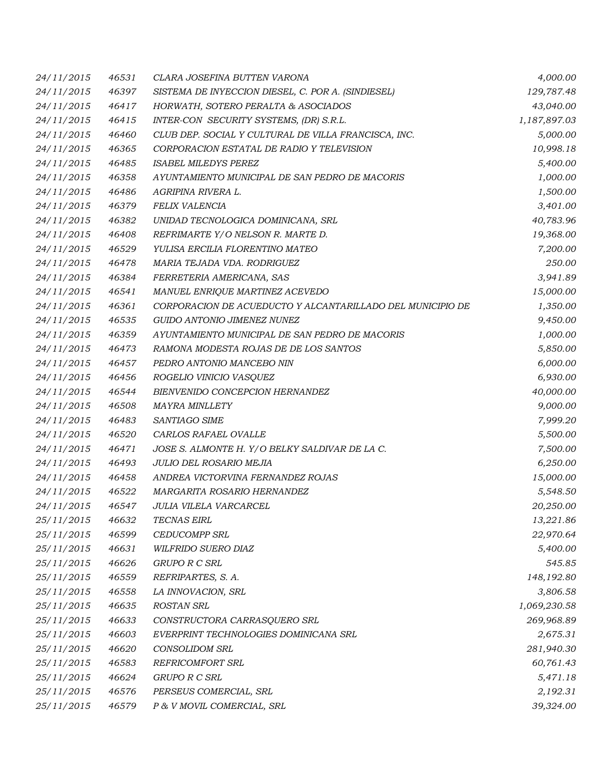| 24/11/2015 | 46531 | CLARA JOSEFINA BUTTEN VARONA                               | 4,000.00     |
|------------|-------|------------------------------------------------------------|--------------|
| 24/11/2015 | 46397 | SISTEMA DE INYECCION DIESEL, C. POR A. (SINDIESEL)         | 129,787.48   |
| 24/11/2015 | 46417 | HORWATH, SOTERO PERALTA & ASOCIADOS                        | 43,040.00    |
| 24/11/2015 | 46415 | INTER-CON SECURITY SYSTEMS, (DR) S.R.L.                    | 1,187,897.03 |
| 24/11/2015 | 46460 | CLUB DEP. SOCIAL Y CULTURAL DE VILLA FRANCISCA, INC.       | 5,000.00     |
| 24/11/2015 | 46365 | CORPORACION ESTATAL DE RADIO Y TELEVISION                  | 10,998.18    |
| 24/11/2015 | 46485 | <b>ISABEL MILEDYS PEREZ</b>                                | 5,400.00     |
| 24/11/2015 | 46358 | AYUNTAMIENTO MUNICIPAL DE SAN PEDRO DE MACORIS             | 1,000.00     |
| 24/11/2015 | 46486 | AGRIPINA RIVERA L.                                         | 1,500.00     |
| 24/11/2015 | 46379 | <b>FELIX VALENCIA</b>                                      | 3,401.00     |
| 24/11/2015 | 46382 | UNIDAD TECNOLOGICA DOMINICANA, SRL                         | 40,783.96    |
| 24/11/2015 | 46408 | REFRIMARTE Y/O NELSON R. MARTE D.                          | 19,368.00    |
| 24/11/2015 | 46529 | YULISA ERCILIA FLORENTINO MATEO                            | 7,200.00     |
| 24/11/2015 | 46478 | MARIA TEJADA VDA. RODRIGUEZ                                | 250.00       |
| 24/11/2015 | 46384 | FERRETERIA AMERICANA, SAS                                  | 3,941.89     |
| 24/11/2015 | 46541 | MANUEL ENRIQUE MARTINEZ ACEVEDO                            | 15,000.00    |
| 24/11/2015 | 46361 | CORPORACION DE ACUEDUCTO Y ALCANTARILLADO DEL MUNICIPIO DE | 1,350.00     |
| 24/11/2015 | 46535 | GUIDO ANTONIO JIMENEZ NUNEZ                                | 9,450.00     |
| 24/11/2015 | 46359 | AYUNTAMIENTO MUNICIPAL DE SAN PEDRO DE MACORIS             | 1,000.00     |
| 24/11/2015 | 46473 | RAMONA MODESTA ROJAS DE DE LOS SANTOS                      | 5,850.00     |
| 24/11/2015 | 46457 | PEDRO ANTONIO MANCEBO NIN                                  | 6,000.00     |
| 24/11/2015 | 46456 | ROGELIO VINICIO VASQUEZ                                    | 6,930.00     |
| 24/11/2015 | 46544 | BIENVENIDO CONCEPCION HERNANDEZ                            | 40,000.00    |
| 24/11/2015 | 46508 | <b>MAYRA MINLLETY</b>                                      | 9,000.00     |
| 24/11/2015 | 46483 | SANTIAGO SIME                                              | 7,999.20     |
| 24/11/2015 | 46520 | CARLOS RAFAEL OVALLE                                       | 5,500.00     |
| 24/11/2015 | 46471 | JOSE S. ALMONTE H. Y/O BELKY SALDIVAR DE LA C.             | 7,500.00     |
| 24/11/2015 | 46493 | JULIO DEL ROSARIO MEJIA                                    | 6,250.00     |
| 24/11/2015 | 46458 | ANDREA VICTORVINA FERNANDEZ ROJAS                          | 15,000.00    |
| 24/11/2015 | 46522 | MARGARITA ROSARIO HERNANDEZ                                | 5,548.50     |
| 24/11/2015 | 46547 | <b>JULIA VILELA VARCARCEL</b>                              | 20,250.00    |
| 25/11/2015 | 46632 | <b>TECNAS EIRL</b>                                         | 13,221.86    |
| 25/11/2015 | 46599 | CEDUCOMPP SRL                                              | 22,970.64    |
| 25/11/2015 | 46631 | WILFRIDO SUERO DIAZ                                        | 5,400.00     |
| 25/11/2015 | 46626 | GRUPO R C SRL                                              | 545.85       |
| 25/11/2015 | 46559 | REFRIPARTES, S. A.                                         | 148,192.80   |
| 25/11/2015 | 46558 | LA INNOVACION, SRL                                         | 3,806.58     |
| 25/11/2015 | 46635 | <b>ROSTAN SRL</b>                                          | 1,069,230.58 |
| 25/11/2015 | 46633 | CONSTRUCTORA CARRASQUERO SRL                               | 269,968.89   |
| 25/11/2015 | 46603 | EVERPRINT TECHNOLOGIES DOMINICANA SRL                      | 2,675.31     |
| 25/11/2015 | 46620 | <b>CONSOLIDOM SRL</b>                                      | 281,940.30   |
| 25/11/2015 | 46583 | REFRICOMFORT SRL                                           | 60,761.43    |
| 25/11/2015 | 46624 | GRUPO R C SRL                                              | 5,471.18     |
| 25/11/2015 | 46576 | PERSEUS COMERCIAL, SRL                                     | 2,192.31     |
| 25/11/2015 | 46579 | P & V MOVIL COMERCIAL, SRL                                 | 39,324.00    |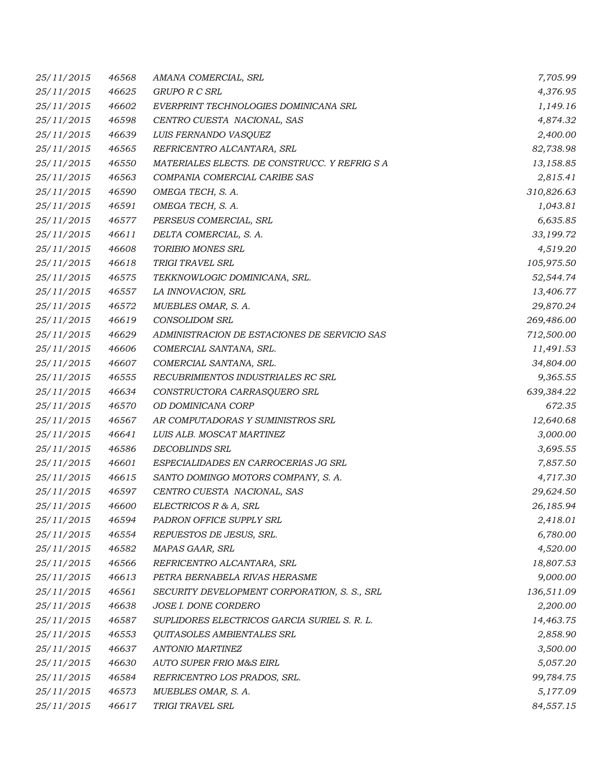| 25/11/2015 | 46568 | AMANA COMERCIAL, SRL                          | 7,705.99   |
|------------|-------|-----------------------------------------------|------------|
| 25/11/2015 | 46625 | GRUPO R C SRL                                 | 4,376.95   |
| 25/11/2015 | 46602 | EVERPRINT TECHNOLOGIES DOMINICANA SRL         | 1,149.16   |
| 25/11/2015 | 46598 | CENTRO CUESTA NACIONAL, SAS                   | 4,874.32   |
| 25/11/2015 | 46639 | LUIS FERNANDO VASQUEZ                         | 2,400.00   |
| 25/11/2015 | 46565 | REFRICENTRO ALCANTARA, SRL                    | 82,738.98  |
| 25/11/2015 | 46550 | MATERIALES ELECTS. DE CONSTRUCC. Y REFRIG S A | 13,158.85  |
| 25/11/2015 | 46563 | COMPANIA COMERCIAL CARIBE SAS                 | 2,815.41   |
| 25/11/2015 | 46590 | OMEGA TECH, S. A.                             | 310,826.63 |
| 25/11/2015 | 46591 | OMEGA TECH, S. A.                             | 1,043.81   |
| 25/11/2015 | 46577 | PERSEUS COMERCIAL, SRL                        | 6,635.85   |
| 25/11/2015 | 46611 | DELTA COMERCIAL, S. A.                        | 33,199.72  |
| 25/11/2015 | 46608 | TORIBIO MONES SRL                             | 4,519.20   |
| 25/11/2015 | 46618 | TRIGI TRAVEL SRL                              | 105,975.50 |
| 25/11/2015 | 46575 | TEKKNOWLOGIC DOMINICANA, SRL.                 | 52,544.74  |
| 25/11/2015 | 46557 | LA INNOVACION, SRL                            | 13,406.77  |
| 25/11/2015 | 46572 | MUEBLES OMAR, S. A.                           | 29,870.24  |
| 25/11/2015 | 46619 | <b>CONSOLIDOM SRL</b>                         | 269,486.00 |
| 25/11/2015 | 46629 | ADMINISTRACION DE ESTACIONES DE SERVICIO SAS  | 712,500.00 |
| 25/11/2015 | 46606 | COMERCIAL SANTANA, SRL.                       | 11,491.53  |
| 25/11/2015 | 46607 | COMERCIAL SANTANA, SRL.                       | 34,804.00  |
| 25/11/2015 | 46555 | RECUBRIMIENTOS INDUSTRIALES RC SRL            | 9,365.55   |
| 25/11/2015 | 46634 | CONSTRUCTORA CARRASQUERO SRL                  | 639,384.22 |
| 25/11/2015 | 46570 | OD DOMINICANA CORP                            | 672.35     |
| 25/11/2015 | 46567 | AR COMPUTADORAS Y SUMINISTROS SRL             | 12,640.68  |
| 25/11/2015 | 46641 | LUIS ALB. MOSCAT MARTINEZ                     | 3,000.00   |
| 25/11/2015 | 46586 | <b>DECOBLINDS SRL</b>                         | 3,695.55   |
| 25/11/2015 | 46601 | ESPECIALIDADES EN CARROCERIAS JG SRL          | 7,857.50   |
| 25/11/2015 | 46615 | SANTO DOMINGO MOTORS COMPANY, S. A.           | 4,717.30   |
| 25/11/2015 | 46597 | CENTRO CUESTA NACIONAL, SAS                   | 29,624.50  |
| 25/11/2015 | 46600 | ELECTRICOS R & A, SRL                         | 26,185.94  |
| 25/11/2015 | 46594 | PADRON OFFICE SUPPLY SRL                      | 2,418.01   |
| 25/11/2015 | 46554 | REPUESTOS DE JESUS, SRL.                      | 6,780.00   |
| 25/11/2015 | 46582 | MAPAS GAAR, SRL                               | 4,520.00   |
| 25/11/2015 | 46566 | REFRICENTRO ALCANTARA, SRL                    | 18,807.53  |
| 25/11/2015 | 46613 | PETRA BERNABELA RIVAS HERASME                 | 9,000.00   |
| 25/11/2015 | 46561 | SECURITY DEVELOPMENT CORPORATION, S. S., SRL  | 136,511.09 |
| 25/11/2015 | 46638 | JOSE I. DONE CORDERO                          | 2,200.00   |
| 25/11/2015 | 46587 | SUPLIDORES ELECTRICOS GARCIA SURIEL S. R. L.  | 14,463.75  |
| 25/11/2015 | 46553 | QUITASOLES AMBIENTALES SRL                    | 2,858.90   |
| 25/11/2015 | 46637 | <b>ANTONIO MARTINEZ</b>                       | 3,500.00   |
| 25/11/2015 | 46630 | AUTO SUPER FRIO M&S EIRL                      | 5,057.20   |
| 25/11/2015 | 46584 | REFRICENTRO LOS PRADOS, SRL.                  | 99,784.75  |
| 25/11/2015 | 46573 | MUEBLES OMAR, S. A.                           | 5,177.09   |
| 25/11/2015 | 46617 | TRIGI TRAVEL SRL                              | 84,557.15  |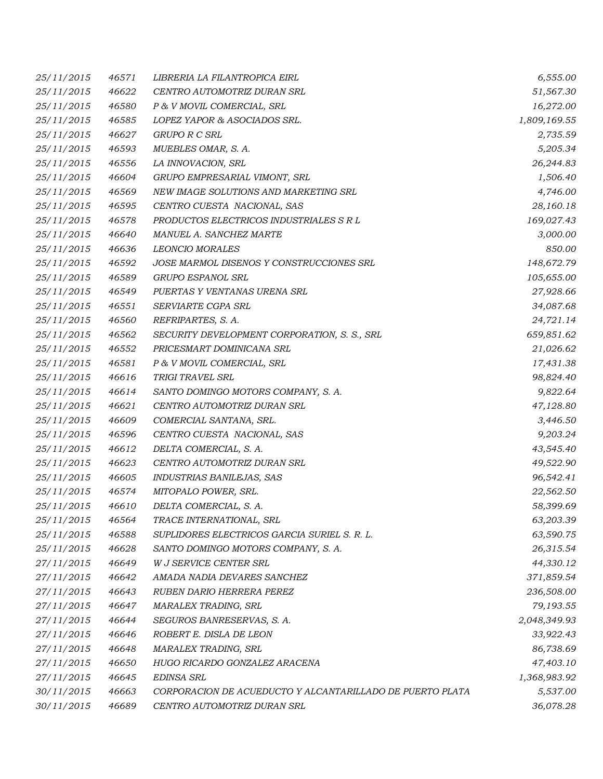| 25/11/2015 | 46571 | LIBRERIA LA FILANTROPICA EIRL                             | 6,555.00     |
|------------|-------|-----------------------------------------------------------|--------------|
| 25/11/2015 | 46622 | CENTRO AUTOMOTRIZ DURAN SRL                               | 51,567.30    |
| 25/11/2015 | 46580 | P & V MOVIL COMERCIAL, SRL                                | 16,272.00    |
| 25/11/2015 | 46585 | LOPEZ YAPOR & ASOCIADOS SRL.                              | 1,809,169.55 |
| 25/11/2015 | 46627 | GRUPO R C SRL                                             | 2,735.59     |
| 25/11/2015 | 46593 | MUEBLES OMAR, S. A.                                       | 5,205.34     |
| 25/11/2015 | 46556 | LA INNOVACION, SRL                                        | 26,244.83    |
| 25/11/2015 | 46604 | GRUPO EMPRESARIAL VIMONT, SRL                             | 1,506.40     |
| 25/11/2015 | 46569 | NEW IMAGE SOLUTIONS AND MARKETING SRL                     | 4,746.00     |
| 25/11/2015 | 46595 | CENTRO CUESTA NACIONAL, SAS                               | 28,160.18    |
| 25/11/2015 | 46578 | PRODUCTOS ELECTRICOS INDUSTRIALES S R L                   | 169,027.43   |
| 25/11/2015 | 46640 | MANUEL A. SANCHEZ MARTE                                   | 3,000.00     |
| 25/11/2015 | 46636 | <b>LEONCIO MORALES</b>                                    | 850.00       |
| 25/11/2015 | 46592 | JOSE MARMOL DISENOS Y CONSTRUCCIONES SRL                  | 148,672.79   |
| 25/11/2015 | 46589 | GRUPO ESPANOL SRL                                         | 105,655.00   |
| 25/11/2015 | 46549 | PUERTAS Y VENTANAS URENA SRL                              | 27,928.66    |
| 25/11/2015 | 46551 | SERVIARTE CGPA SRL                                        | 34,087.68    |
| 25/11/2015 | 46560 | REFRIPARTES, S. A.                                        | 24,721.14    |
| 25/11/2015 | 46562 | SECURITY DEVELOPMENT CORPORATION, S. S., SRL              | 659,851.62   |
| 25/11/2015 | 46552 | PRICESMART DOMINICANA SRL                                 | 21,026.62    |
| 25/11/2015 | 46581 | P & V MOVIL COMERCIAL, SRL                                | 17,431.38    |
| 25/11/2015 | 46616 | TRIGI TRAVEL SRL                                          | 98,824.40    |
| 25/11/2015 | 46614 | SANTO DOMINGO MOTORS COMPANY, S. A.                       | 9,822.64     |
| 25/11/2015 | 46621 | CENTRO AUTOMOTRIZ DURAN SRL                               | 47,128.80    |
| 25/11/2015 | 46609 | COMERCIAL SANTANA, SRL.                                   | 3,446.50     |
| 25/11/2015 | 46596 | CENTRO CUESTA NACIONAL, SAS                               | 9,203.24     |
| 25/11/2015 | 46612 | DELTA COMERCIAL, S. A.                                    | 43,545.40    |
| 25/11/2015 | 46623 | CENTRO AUTOMOTRIZ DURAN SRL                               | 49,522.90    |
| 25/11/2015 | 46605 | INDUSTRIAS BANILEJAS, SAS                                 | 96,542.41    |
| 25/11/2015 | 46574 | MITOPALO POWER, SRL.                                      | 22,562.50    |
| 25/11/2015 | 46610 | DELTA COMERCIAL, S. A.                                    | 58,399.69    |
| 25/11/2015 | 46564 | TRACE INTERNATIONAL, SRL                                  | 63,203.39    |
| 25/11/2015 | 46588 | SUPLIDORES ELECTRICOS GARCIA SURIEL S. R. L.              | 63,590.75    |
| 25/11/2015 | 46628 | SANTO DOMINGO MOTORS COMPANY, S. A.                       | 26,315.54    |
| 27/11/2015 | 46649 | W J SERVICE CENTER SRL                                    | 44,330.12    |
| 27/11/2015 | 46642 | AMADA NADIA DEVARES SANCHEZ                               | 371,859.54   |
| 27/11/2015 | 46643 | RUBEN DARIO HERRERA PEREZ                                 | 236,508.00   |
| 27/11/2015 | 46647 | MARALEX TRADING, SRL                                      | 79,193.55    |
| 27/11/2015 | 46644 | SEGUROS BANRESERVAS, S. A.                                | 2,048,349.93 |
| 27/11/2015 | 46646 | ROBERT E. DISLA DE LEON                                   | 33,922.43    |
| 27/11/2015 | 46648 | MARALEX TRADING, SRL                                      | 86,738.69    |
| 27/11/2015 | 46650 | HUGO RICARDO GONZALEZ ARACENA                             | 47,403.10    |
| 27/11/2015 | 46645 | <b>EDINSA SRL</b>                                         | 1,368,983.92 |
| 30/11/2015 | 46663 | CORPORACION DE ACUEDUCTO Y ALCANTARILLADO DE PUERTO PLATA | 5,537.00     |
| 30/11/2015 | 46689 | CENTRO AUTOMOTRIZ DURAN SRL                               | 36,078.28    |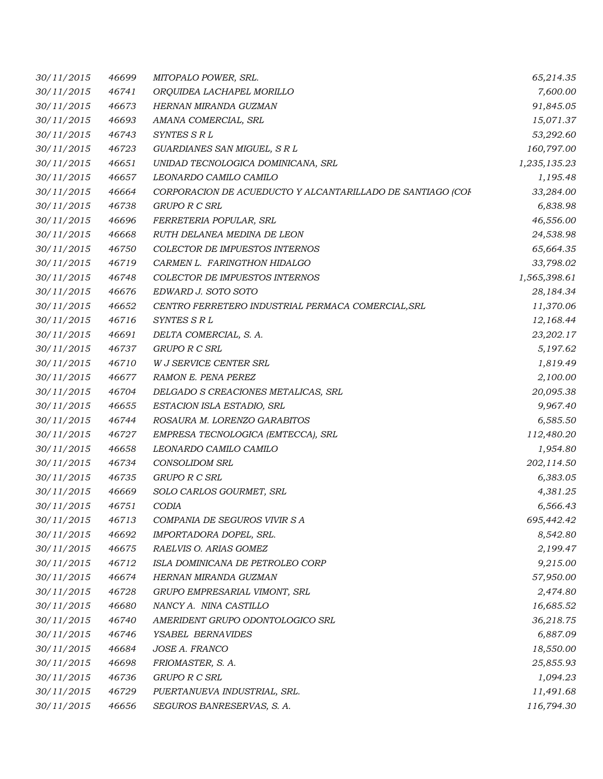| 30/11/2015 | 46699 | MITOPALO POWER, SRL.                                       | 65,214.35    |
|------------|-------|------------------------------------------------------------|--------------|
| 30/11/2015 | 46741 | ORQUIDEA LACHAPEL MORILLO                                  | 7,600.00     |
| 30/11/2015 | 46673 | HERNAN MIRANDA GUZMAN                                      | 91,845.05    |
| 30/11/2015 | 46693 | AMANA COMERCIAL, SRL                                       | 15,071.37    |
| 30/11/2015 | 46743 | SYNTES S R L                                               | 53,292.60    |
| 30/11/2015 | 46723 | GUARDIANES SAN MIGUEL, S R L                               | 160,797.00   |
| 30/11/2015 | 46651 | UNIDAD TECNOLOGICA DOMINICANA, SRL                         | 1,235,135.23 |
| 30/11/2015 | 46657 | LEONARDO CAMILO CAMILO                                     | 1,195.48     |
| 30/11/2015 | 46664 | CORPORACION DE ACUEDUCTO Y ALCANTARILLADO DE SANTIAGO (COF | 33,284.00    |
| 30/11/2015 | 46738 | <b>GRUPO R C SRL</b>                                       | 6,838.98     |
| 30/11/2015 | 46696 | FERRETERIA POPULAR, SRL                                    | 46,556.00    |
| 30/11/2015 | 46668 | RUTH DELANEA MEDINA DE LEON                                | 24,538.98    |
| 30/11/2015 | 46750 | COLECTOR DE IMPUESTOS INTERNOS                             | 65,664.35    |
| 30/11/2015 | 46719 | CARMEN L. FARINGTHON HIDALGO                               | 33,798.02    |
| 30/11/2015 | 46748 | COLECTOR DE IMPUESTOS INTERNOS                             | 1,565,398.61 |
| 30/11/2015 | 46676 | EDWARD J. SOTO SOTO                                        | 28,184.34    |
| 30/11/2015 | 46652 | CENTRO FERRETERO INDUSTRIAL PERMACA COMERCIAL, SRL         | 11,370.06    |
| 30/11/2015 | 46716 | SYNTES S R L                                               | 12,168.44    |
| 30/11/2015 | 46691 | DELTA COMERCIAL, S. A.                                     | 23,202.17    |
| 30/11/2015 | 46737 | GRUPO R C SRL                                              | 5,197.62     |
| 30/11/2015 | 46710 | W J SERVICE CENTER SRL                                     | 1,819.49     |
| 30/11/2015 | 46677 | RAMON E. PENA PEREZ                                        | 2,100.00     |
| 30/11/2015 | 46704 | DELGADO S CREACIONES METALICAS, SRL                        | 20,095.38    |
| 30/11/2015 | 46655 | ESTACION ISLA ESTADIO, SRL                                 | 9,967.40     |
| 30/11/2015 | 46744 | ROSAURA M. LORENZO GARABITOS                               | 6,585.50     |
| 30/11/2015 | 46727 | EMPRESA TECNOLOGICA (EMTECCA), SRL                         | 112,480.20   |
| 30/11/2015 | 46658 | LEONARDO CAMILO CAMILO                                     | 1,954.80     |
| 30/11/2015 | 46734 | <b>CONSOLIDOM SRL</b>                                      | 202,114.50   |
| 30/11/2015 | 46735 | <b>GRUPO R C SRL</b>                                       | 6,383.05     |
| 30/11/2015 | 46669 | SOLO CARLOS GOURMET, SRL                                   | 4,381.25     |
| 30/11/2015 | 46751 | CODIA                                                      | 6,566.43     |
| 30/11/2015 | 46713 | COMPANIA DE SEGUROS VIVIR S A                              | 695,442.42   |
| 30/11/2015 | 46692 | IMPORTADORA DOPEL, SRL.                                    | 8,542.80     |
| 30/11/2015 | 46675 | RAELVIS O. ARIAS GOMEZ                                     | 2,199.47     |
| 30/11/2015 | 46712 | ISLA DOMINICANA DE PETROLEO CORP                           | 9,215.00     |
| 30/11/2015 | 46674 | HERNAN MIRANDA GUZMAN                                      | 57,950.00    |
| 30/11/2015 | 46728 | GRUPO EMPRESARIAL VIMONT, SRL                              | 2,474.80     |
| 30/11/2015 | 46680 | NANCY A. NINA CASTILLO                                     | 16,685.52    |
| 30/11/2015 | 46740 | AMERIDENT GRUPO ODONTOLOGICO SRL                           | 36,218.75    |
| 30/11/2015 | 46746 | YSABEL BERNAVIDES                                          | 6,887.09     |
| 30/11/2015 | 46684 | JOSE A. FRANCO                                             | 18,550.00    |
| 30/11/2015 | 46698 | FRIOMASTER, S. A.                                          | 25,855.93    |
| 30/11/2015 | 46736 | <b>GRUPO R C SRL</b>                                       | 1,094.23     |
| 30/11/2015 | 46729 | PUERTANUEVA INDUSTRIAL, SRL.                               | 11,491.68    |
| 30/11/2015 | 46656 | SEGUROS BANRESERVAS, S. A.                                 | 116,794.30   |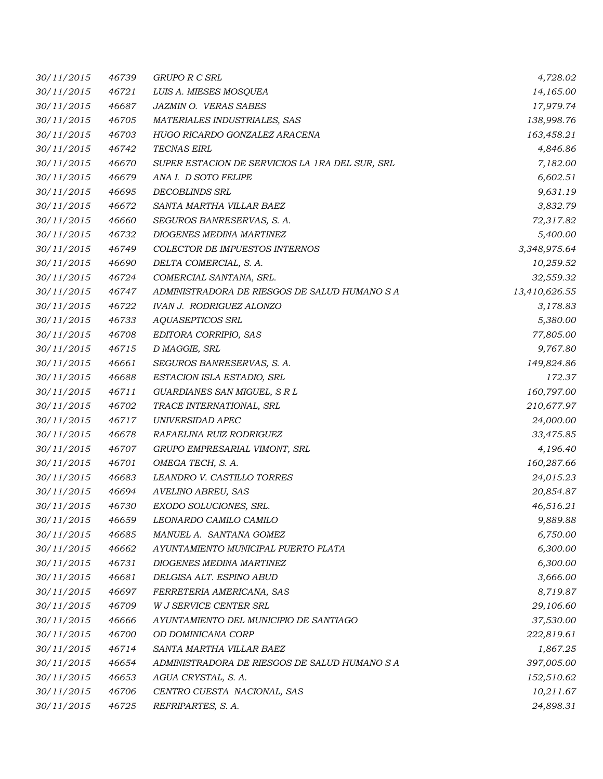| 30/11/2015 | 46739 | <b>GRUPO R C SRL</b>                            | 4,728.02      |
|------------|-------|-------------------------------------------------|---------------|
| 30/11/2015 | 46721 | LUIS A. MIESES MOSQUEA                          | 14,165.00     |
| 30/11/2015 | 46687 | JAZMIN O. VERAS SABES                           | 17,979.74     |
| 30/11/2015 | 46705 | MATERIALES INDUSTRIALES, SAS                    | 138,998.76    |
| 30/11/2015 | 46703 | HUGO RICARDO GONZALEZ ARACENA                   | 163,458.21    |
| 30/11/2015 | 46742 | <b>TECNAS EIRL</b>                              | 4,846.86      |
| 30/11/2015 | 46670 | SUPER ESTACION DE SERVICIOS LA 1RA DEL SUR, SRL | 7,182.00      |
| 30/11/2015 | 46679 | ANA I. D SOTO FELIPE                            | 6,602.51      |
| 30/11/2015 | 46695 | <b>DECOBLINDS SRL</b>                           | 9,631.19      |
| 30/11/2015 | 46672 | SANTA MARTHA VILLAR BAEZ                        | 3,832.79      |
| 30/11/2015 | 46660 | SEGUROS BANRESERVAS, S. A.                      | 72,317.82     |
| 30/11/2015 | 46732 | DIOGENES MEDINA MARTINEZ                        | 5,400.00      |
| 30/11/2015 | 46749 | COLECTOR DE IMPUESTOS INTERNOS                  | 3,348,975.64  |
| 30/11/2015 | 46690 | DELTA COMERCIAL, S. A.                          | 10,259.52     |
| 30/11/2015 | 46724 | COMERCIAL SANTANA, SRL.                         | 32,559.32     |
| 30/11/2015 | 46747 | ADMINISTRADORA DE RIESGOS DE SALUD HUMANO S A   | 13,410,626.55 |
| 30/11/2015 | 46722 | <b>IVAN J. RODRIGUEZ ALONZO</b>                 | 3,178.83      |
| 30/11/2015 | 46733 | AQUASEPTICOS SRL                                | 5,380.00      |
| 30/11/2015 | 46708 | EDITORA CORRIPIO, SAS                           | 77,805.00     |
| 30/11/2015 | 46715 | D MAGGIE, SRL                                   | 9,767.80      |
| 30/11/2015 | 46661 | SEGUROS BANRESERVAS, S. A.                      | 149,824.86    |
| 30/11/2015 | 46688 | ESTACION ISLA ESTADIO, SRL                      | 172.37        |
| 30/11/2015 | 46711 | GUARDIANES SAN MIGUEL, S R L                    | 160,797.00    |
| 30/11/2015 | 46702 | TRACE INTERNATIONAL, SRL                        | 210,677.97    |
| 30/11/2015 | 46717 | UNIVERSIDAD APEC                                | 24,000.00     |
| 30/11/2015 | 46678 | RAFAELINA RUIZ RODRIGUEZ                        | 33,475.85     |
| 30/11/2015 | 46707 | GRUPO EMPRESARIAL VIMONT, SRL                   | 4,196.40      |
| 30/11/2015 | 46701 | OMEGA TECH, S. A.                               | 160,287.66    |
| 30/11/2015 | 46683 | LEANDRO V. CASTILLO TORRES                      | 24,015.23     |
| 30/11/2015 | 46694 | AVELINO ABREU, SAS                              | 20,854.87     |
| 30/11/2015 | 46730 | EXODO SOLUCIONES, SRL.                          | 46,516.21     |
| 30/11/2015 | 46659 | LEONARDO CAMILO CAMILO                          | 9,889.88      |
| 30/11/2015 | 46685 | MANUEL A. SANTANA GOMEZ                         | 6,750.00      |
| 30/11/2015 | 46662 | AYUNTAMIENTO MUNICIPAL PUERTO PLATA             | 6,300.00      |
| 30/11/2015 | 46731 | DIOGENES MEDINA MARTINEZ                        | 6,300.00      |
| 30/11/2015 | 46681 | DELGISA ALT. ESPINO ABUD                        | 3,666.00      |
| 30/11/2015 | 46697 | FERRETERIA AMERICANA, SAS                       | 8,719.87      |
| 30/11/2015 | 46709 | <b>W J SERVICE CENTER SRL</b>                   | 29,106.60     |
| 30/11/2015 | 46666 | AYUNTAMIENTO DEL MUNICIPIO DE SANTIAGO          | 37,530.00     |
| 30/11/2015 | 46700 | OD DOMINICANA CORP                              | 222,819.61    |
| 30/11/2015 | 46714 | SANTA MARTHA VILLAR BAEZ                        | 1,867.25      |
| 30/11/2015 | 46654 | ADMINISTRADORA DE RIESGOS DE SALUD HUMANO S A   | 397,005.00    |
| 30/11/2015 | 46653 | AGUA CRYSTAL, S. A.                             | 152,510.62    |
| 30/11/2015 | 46706 | CENTRO CUESTA NACIONAL, SAS                     | 10,211.67     |
| 30/11/2015 | 46725 | REFRIPARTES, S. A.                              | 24,898.31     |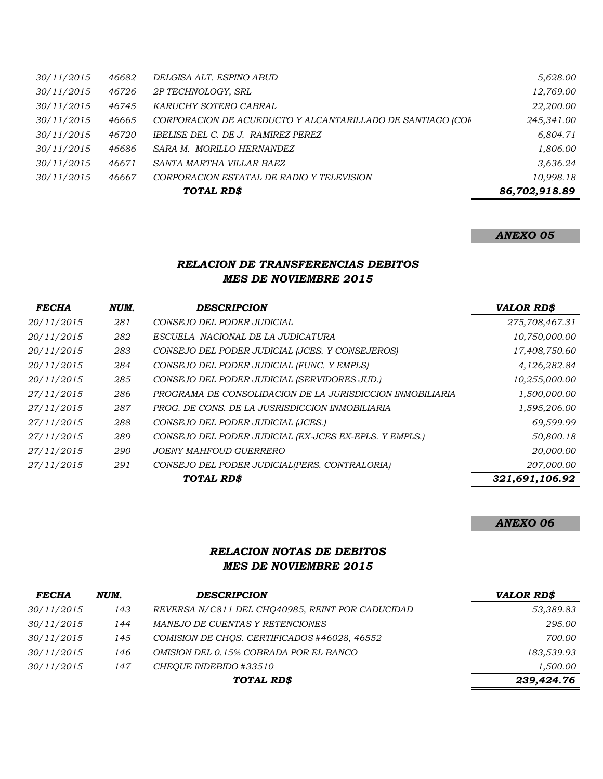| 30/11/2015 | 46682 | DELGISA ALT. ESPINO ABUD                                   | 5,628.00      |
|------------|-------|------------------------------------------------------------|---------------|
| 30/11/2015 | 46726 | 2P TECHNOLOGY, SRL                                         | 12,769.00     |
| 30/11/2015 | 46745 | KARUCHY SOTERO CABRAL                                      | 22,200.00     |
| 30/11/2015 | 46665 | CORPORACION DE ACUEDUCTO Y ALCANTARILLADO DE SANTIAGO (COF | 245,341.00    |
| 30/11/2015 | 46720 | IBELISE DEL C. DE J. RAMIREZ PEREZ                         | 6,804.71      |
| 30/11/2015 | 46686 | SARA M. MORILLO HERNANDEZ                                  | 1,806.00      |
| 30/11/2015 | 46671 | SANTA MARTHA VILLAR BAEZ                                   | 3,636.24      |
| 30/11/2015 | 46667 | CORPORACION ESTATAL DE RADIO Y TELEVISION                  | 10,998.18     |
|            |       | TOTAL RD\$                                                 | 86,702,918.89 |

# *ANEXO 05*

### *RELACION DE TRANSFERENCIAS DEBITOS MES DE NOVIEMBRE 2015*

| <b>FECHA</b> | NUM. | <b>DESCRIPCION</b>                                        | <b>VALOR RD\$</b> |
|--------------|------|-----------------------------------------------------------|-------------------|
| 20/11/2015   | 281  | CONSEJO DEL PODER JUDICIAL                                | 275,708,467.31    |
| 20/11/2015   | 282  | ESCUELA NACIONAL DE LA JUDICATURA                         | 10,750,000.00     |
| 20/11/2015   | 283  | CONSEJO DEL PODER JUDICIAL (JCES. Y CONSEJEROS)           | 17,408,750.60     |
| 20/11/2015   | 284  | CONSEJO DEL PODER JUDICIAL (FUNC. Y EMPLS)                | 4,126,282.84      |
| 20/11/2015   | 285  | CONSEJO DEL PODER JUDICIAL (SERVIDORES JUD.)              | 10,255,000.00     |
| 27/11/2015   | 286  | PROGRAMA DE CONSOLIDACION DE LA JURISDICCION INMOBILIARIA | 1,500,000.00      |
| 27/11/2015   | 287  | PROG. DE CONS. DE LA JUSRISDICCION INMOBILIARIA           | 1,595,206.00      |
| 27/11/2015   | 288  | CONSEJO DEL PODER JUDICIAL (JCES.)                        | 69,599.99         |
| 27/11/2015   | 289  | CONSEJO DEL PODER JUDICIAL (EX-JCES EX-EPLS. Y EMPLS.)    | 50,800.18         |
| 27/11/2015   | 290  | <b>JOENY MAHFOUD GUERRERO</b>                             | 20,000.00         |
| 27/11/2015   | 291  | CONSEJO DEL PODER JUDICIAL (PERS. CONTRALORIA)            | 207,000.00        |
|              |      | TOTAL RD\$                                                | 321,691,106.92    |

#### *ANEXO 06*

### *RELACION NOTAS DE DEBITOS MES DE NOVIEMBRE 2015*

| <b>FECHA</b> | NUM. | <b>DESCRIPCION</b>                               | <b>VALOR RD\$</b> |
|--------------|------|--------------------------------------------------|-------------------|
| 30/11/2015   | 143  | REVERSA N/C811 DEL CHO40985, REINT POR CADUCIDAD | 53,389.83         |
| 30/11/2015   | 144  | MANEJO DE CUENTAS Y RETENCIONES                  | 295.00            |
| 30/11/2015   | 145  | COMISION DE CHOS. CERTIFICADOS #46028, 46552     | 700.00            |
| 30/11/2015   | 146  | OMISION DEL 0.15% COBRADA POR EL BANCO           | 183.539.93        |
| 30/11/2015   | 147  | CHEOUE INDEBIDO #33510                           | 1,500.00          |
| TOTAL RD\$   |      |                                                  | 239,424.76        |